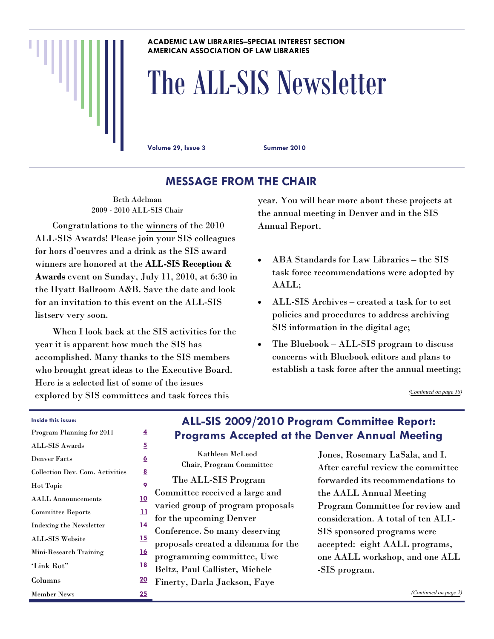#### **ACADEMIC LAW LIBRARIES–SPECIAL INTEREST SECTION AMERICAN ASSOCIATION OF LAW LIBRARIES**

# The ALL-SIS Newsletter

**Volume 29, Issue 3 Summer 2010** 

# **MESSAGE FROM THE CHAIR**

Beth Adelman 2009 - 2010 ALL-SIS Chair

 Congratulations to the [winners](#page-4-0) of the 2010 ALL-SIS Awards! Please join your SIS colleagues for hors d'oeuvres and a drink as the SIS award winners are honored at the **ALL-SIS Reception & Awards** event on Sunday, July 11, 2010, at 6:30 in the Hyatt Ballroom A&B. Save the date and look for an invitation to this event on the ALL-SIS listserv very soon.

 When I look back at the SIS activities for the year it is apparent how much the SIS has accomplished. Many thanks to the SIS members who brought great ideas to the Executive Board. Here is a selected list of some of the issues explored by SIS committees and task forces this

year. You will hear more about these projects at the annual meeting in Denver and in the SIS Annual Report.

- ABA Standards for Law Libraries the SIS task force recommendations were adopted by AALL;
- ALL-SIS Archives created a task for to set policies and procedures to address archiving SIS information in the digital age;
- The Bluebook ALL-SIS program to discuss concerns with Bluebook editors and plans to establish a task force after the annual meeting;

*([Continued on page 18\)](#page-17-0)* 

#### **Inside this issue:**

| Program Planning for 2011       | 4          |                |
|---------------------------------|------------|----------------|
| <b>ALL-SIS Awards</b>           | 5          |                |
| <b>Denver Facts</b>             | <u>6</u>   |                |
| Collection Dev. Com. Activities | <u>8</u>   |                |
| <b>Hot Topic</b>                | <u> 9</u>  |                |
| <b>AALL Announcements</b>       | <u>10</u>  | Com            |
| <b>Committee Reports</b>        | <u> 11</u> | vario<br>for t |
| <b>Indexing the Newsletter</b>  | <u> 14</u> | Conf           |
| <b>ALL SIS Website</b>          | <u> 15</u> |                |
| Mini-Research Training          | <u>16</u>  | prop<br>prog   |
| 'Link Rot"                      | <u>18</u>  | <b>Belt:</b>   |
| Columns                         | <u>20</u>  | Fine           |
| <b>Member News</b>              | <u> 25</u> |                |

### **ALL-SIS 2009/2010 Program Committee Report: Programs Accepted at the Denver Annual Meeting**

Kathleen McLeod Chair, Program Committee The ALL-SIS Program mittee received a large and ed group of program proposals he upcoming Denver ference. So many deserving  $\rm{o}$ osals created a dilemma for the ramming committee, Uwe z, Paul Callister, Michele rty, Darla Jackson, Faye

Jones, Rosemary LaSala, and I. After careful review the committee forwarded its recommendations to

the AALL Annual Meeting Program Committee for review and consideration. A total of ten ALL-SIS sponsored programs were accepted: eight AALL programs, one AALL workshop, and one ALL -SIS program.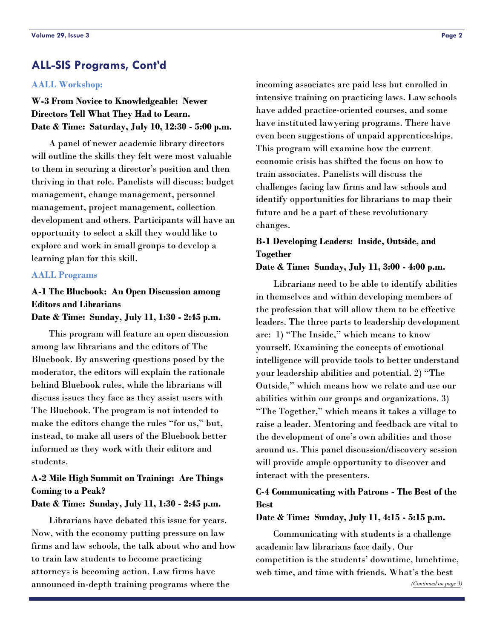### <span id="page-1-0"></span>**ALL-SIS Programs, Cont'd**

#### **AALL Workshop:**

**W-3 From Novice to Knowledgeable: Newer Directors Tell What They Had to Learn. Date & Time: Saturday, July 10, 12:30 - 5:00 p.m.** 

 A panel of newer academic library directors will outline the skills they felt were most valuable to them in securing a director's position and then thriving in that role. Panelists will discuss: budget management, change management, personnel management, project management, collection development and others. Participants will have an opportunity to select a skill they would like to explore and work in small groups to develop a learning plan for this skill.

#### **AALL Programs**

### **A-1 The Bluebook: An Open Discussion among Editors and Librarians**

**Date & Time: Sunday, July 11, 1:30 - 2:45 p.m.** 

 This program will feature an open discussion among law librarians and the editors of The Bluebook. By answering questions posed by the moderator, the editors will explain the rationale behind Bluebook rules, while the librarians will discuss issues they face as they assist users with The Bluebook. The program is not intended to make the editors change the rules "for us," but, instead, to make all users of the Bluebook better informed as they work with their editors and students.

### **A-2 Mile High Summit on Training: Are Things Coming to a Peak?**

#### **Date & Time: Sunday, July 11, 1:30 - 2:45 p.m.**

 Librarians have debated this issue for years. Now, with the economy putting pressure on law firms and law schools, the talk about who and how to train law students to become practicing attorneys is becoming action. Law firms have announced in-depth training programs where the

incoming associates are paid less but enrolled in intensive training on practicing laws. Law schools have added practice-oriented courses, and some have instituted lawyering programs. There have even been suggestions of unpaid apprenticeships. This program will examine how the current economic crisis has shifted the focus on how to train associates. Panelists will discuss the challenges facing law firms and law schools and identify opportunities for librarians to map their future and be a part of these revolutionary changes.

### **B-1 Developing Leaders: Inside, Outside, and Together**

**Date & Time: Sunday, July 11, 3:00 - 4:00 p.m.** 

 Librarians need to be able to identify abilities in themselves and within developing members of the profession that will allow them to be effective leaders. The three parts to leadership development are: 1) "The Inside," which means to know yourself. Examining the concepts of emotional intelligence will provide tools to better understand your leadership abilities and potential. 2) "The Outside," which means how we relate and use our abilities within our groups and organizations. 3) "The Together," which means it takes a village to raise a leader. Mentoring and feedback are vital to the development of one's own abilities and those around us. This panel discussion/discovery session will provide ample opportunity to discover and interact with the presenters.

#### **C-4 Communicating with Patrons - The Best of the Best**

**Date & Time: Sunday, July 11, 4:15 - 5:15 p.m.** 

 Communicating with students is a challenge academic law librarians face daily. Our competition is the students' downtime, lunchtime, web time, and time with friends. What's the best *[\(Continued on page 3\)](#page-2-0)*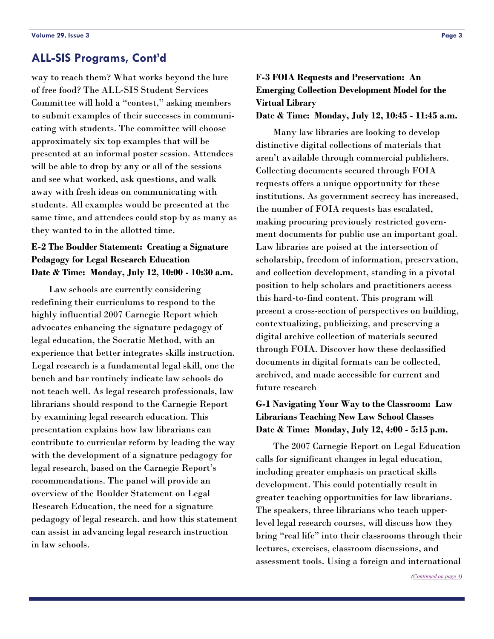### <span id="page-2-0"></span>**ALL-SIS Programs, Cont'd**

way to reach them? What works beyond the lure of free food? The ALL-SIS Student Services Committee will hold a "contest," asking members to submit examples of their successes in communicating with students. The committee will choose approximately six top examples that will be presented at an informal poster session. Attendees will be able to drop by any or all of the sessions and see what worked, ask questions, and walk away with fresh ideas on communicating with students. All examples would be presented at the same time, and attendees could stop by as many as they wanted to in the allotted time.

### **E-2 The Boulder Statement: Creating a Signature Pedagogy for Legal Research Education Date & Time: Monday, July 12, 10:00 - 10:30 a.m.**

 Law schools are currently considering redefining their curriculums to respond to the highly influential 2007 Carnegie Report which advocates enhancing the signature pedagogy of legal education, the Socratic Method, with an experience that better integrates skills instruction. Legal research is a fundamental legal skill, one the bench and bar routinely indicate law schools do not teach well. As legal research professionals, law librarians should respond to the Carnegie Report by examining legal research education. This presentation explains how law librarians can contribute to curricular reform by leading the way with the development of a signature pedagogy for legal research, based on the Carnegie Report's recommendations. The panel will provide an overview of the Boulder Statement on Legal Research Education, the need for a signature pedagogy of legal research, and how this statement can assist in advancing legal research instruction in law schools.

### **F-3 FOIA Requests and Preservation: An Emerging Collection Development Model for the Virtual Library**

#### **Date & Time: Monday, July 12, 10:45 - 11:45 a.m.**

 Many law libraries are looking to develop distinctive digital collections of materials that aren't available through commercial publishers. Collecting documents secured through FOIA requests offers a unique opportunity for these institutions. As government secrecy has increased, the number of FOIA requests has escalated, making procuring previously restricted government documents for public use an important goal. Law libraries are poised at the intersection of scholarship, freedom of information, preservation, and collection development, standing in a pivotal position to help scholars and practitioners access this hard-to-find content. This program will present a cross-section of perspectives on building, contextualizing, publicizing, and preserving a digital archive collection of materials secured through FOIA. Discover how these declassified documents in digital formats can be collected, archived, and made accessible for current and future research

### **G-1 Navigating Your Way to the Classroom: Law Librarians Teaching New Law School Classes Date & Time: Monday, July 12, 4:00 - 5:15 p.m.**

 The 2007 Carnegie Report on Legal Education calls for significant changes in legal education, including greater emphasis on practical skills development. This could potentially result in greater teaching opportunities for law librarians. The speakers, three librarians who teach upperlevel legal research courses, will discuss how they bring "real life" into their classrooms through their lectures, exercises, classroom discussions, and assessment tools. Using a foreign and international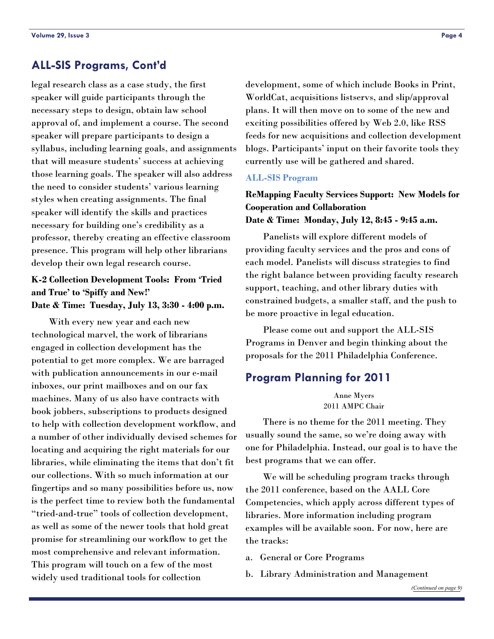### <span id="page-3-0"></span>**ALL-SIS Programs, Cont'd**

legal research class as a case study, the first speaker will guide participants through the necessary steps to design, obtain law school approval of, and implement a course. The second speaker will prepare participants to design a syllabus, including learning goals, and assignments that will measure students' success at achieving those learning goals. The speaker will also address the need to consider students' various learning styles when creating assignments. The final speaker will identify the skills and practices necessary for building one's credibility as a professor, thereby creating an effective classroom presence. This program will help other librarians develop their own legal research course.

### **K-2 Collection Development Tools: From 'Tried and True' to 'Spiffy and New!' Date & Time: Tuesday, July 13, 3:30 - 4:00 p.m.**

 With every new year and each new technological marvel, the work of librarians engaged in collection development has the potential to get more complex. We are barraged with publication announcements in our e-mail inboxes, our print mailboxes and on our fax machines. Many of us also have contracts with book jobbers, subscriptions to products designed to help with collection development workflow, and a number of other individually devised schemes for locating and acquiring the right materials for our libraries, while eliminating the items that don't fit our collections. With so much information at our fingertips and so many possibilities before us, now is the perfect time to review both the fundamental "tried-and-true" tools of collection development, as well as some of the newer tools that hold great promise for streamlining our workflow to get the most comprehensive and relevant information. This program will touch on a few of the most widely used traditional tools for collection

development, some of which include Books in Print, WorldCat, acquisitions listservs, and slip/approval plans. It will then move on to some of the new and exciting possibilities offered by Web 2.0, like RSS feeds for new acquisitions and collection development blogs. Participants' input on their favorite tools they currently use will be gathered and shared.

#### **ALL-SIS Program**

### **ReMapping Faculty Services Support: New Models for Cooperation and Collaboration Date & Time: Monday, July 12, 8:45 - 9:45 a.m.**

 Panelists will explore different models of providing faculty services and the pros and cons of each model. Panelists will discuss strategies to find the right balance between providing faculty research support, teaching, and other library duties with constrained budgets, a smaller staff, and the push to be more proactive in legal education.

 Please come out and support the ALL-SIS Programs in Denver and begin thinking about the proposals for the 2011 Philadelphia Conference.

### **Program Planning for 2011**

Anne Myers 2011 AMPC Chair

 There is no theme for the 2011 meeting. They usually sound the same, so we're doing away with one for Philadelphia. Instead, our goal is to have the best programs that we can offer.

 We will be scheduling program tracks through the 2011 conference, based on the AALL Core Competencies, which apply across different types of libraries. More information including program examples will be available soon. For now, here are the tracks:

- a. General or Core Programs
- b. Library Administration and Management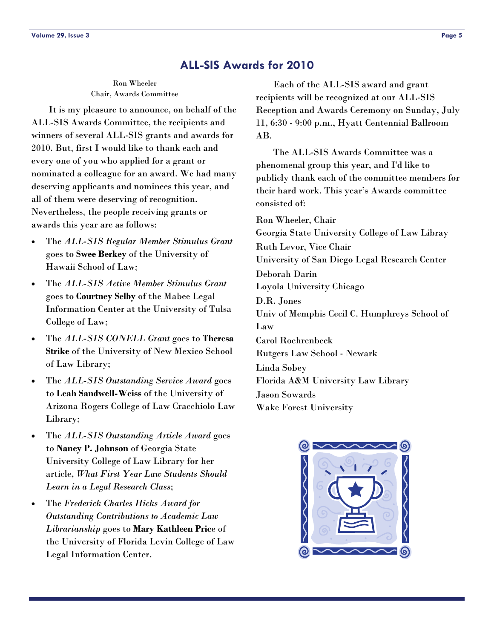### **ALL-SIS Awards for 2010**

#### Ron Wheeler Chair, Awards Committee

<span id="page-4-0"></span> It is my pleasure to announce, on behalf of the ALL-SIS Awards Committee, the recipients and winners of several ALL-SIS grants and awards for 2010. But, first I would like to thank each and every one of you who applied for a grant or nominated a colleague for an award. We had many deserving applicants and nominees this year, and all of them were deserving of recognition. Nevertheless, the people receiving grants or awards this year are as follows:

- The *ALL-SIS Regular Member Stimulus Grant* goes to **Swee Berkey** of the University of Hawaii School of Law;
- The *ALL-SIS Active Member Stimulus Grant* goes to **Courtney Selby** of the Mabee Legal Information Center at the University of Tulsa College of Law;
- The *ALL-SIS CONELL Grant* goes to **Theresa Strike** of the University of New Mexico School of Law Library;
- The *ALL-SIS Outstanding Service Award* goes to **Leah Sandwell-Weiss** of the University of Arizona Rogers College of Law Cracchiolo Law Library;
- The *ALL-SIS Outstanding Article Award* goes to **Nancy P. Johnson** of Georgia State University College of Law Library for her article, *What First Year Law Students Should Learn in a Legal Research Class*;
- The *Frederick Charles Hicks Award for Outstanding Contributions to Academic Law Librarianship* goes to **Mary Kathleen Pric**e of the University of Florida Levin College of Law Legal Information Center.

 Each of the ALL-SIS award and grant recipients will be recognized at our ALL-SIS Reception and Awards Ceremony on Sunday, July 11, 6:30 - 9:00 p.m., Hyatt Centennial Ballroom AB.

 The ALL-SIS Awards Committee was a phenomenal group this year, and I'd like to publicly thank each of the committee members for their hard work. This year's Awards committee consisted of:

Ron Wheeler, Chair Georgia State University College of Law Libray Ruth Levor, Vice Chair University of San Diego Legal Research Center Deborah Darin Loyola University Chicago D.R. Jones Univ of Memphis Cecil C. Humphreys School of Law Carol Roehrenbeck Rutgers Law School - Newark Linda Sobey Florida A&M University Law Library Jason Sowards Wake Forest University

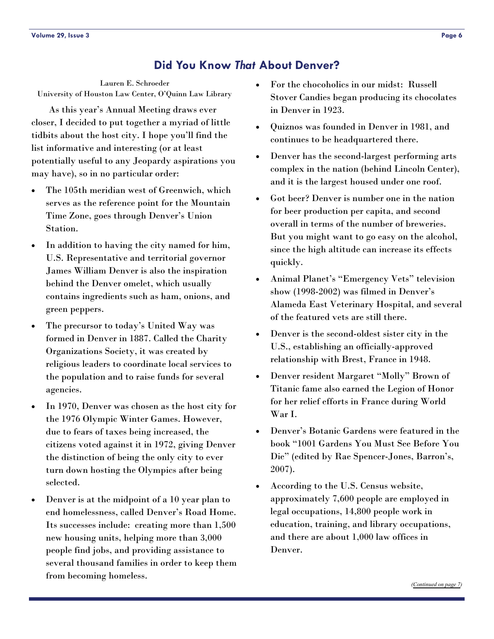### **Did You Know** *That* **About Denver?**

<span id="page-5-0"></span>Lauren E. Schroeder University of Houston Law Center, O'Quinn Law Library

 As this year's Annual Meeting draws ever closer, I decided to put together a myriad of little tidbits about the host city. I hope you'll find the list informative and interesting (or at least potentially useful to any Jeopardy aspirations you may have), so in no particular order:

- The 105th meridian west of Greenwich, which serves as the reference point for the Mountain Time Zone, goes through Denver's Union Station.
- In addition to having the city named for him, U.S. Representative and territorial governor James William Denver is also the inspiration behind the Denver omelet, which usually contains ingredients such as ham, onions, and green peppers.
- The precursor to today's United Way was formed in Denver in 1887. Called the Charity Organizations Society, it was created by religious leaders to coordinate local services to the population and to raise funds for several agencies.
- In 1970, Denver was chosen as the host city for the 1976 Olympic Winter Games. However, due to fears of taxes being increased, the citizens voted against it in 1972, giving Denver the distinction of being the only city to ever turn down hosting the Olympics after being selected.
- Denver is at the midpoint of a 10 year plan to end homelessness, called Denver's Road Home. Its successes include: creating more than 1,500 new housing units, helping more than 3,000 people find jobs, and providing assistance to several thousand families in order to keep them from becoming homeless.
- For the chocoholics in our midst: Russell Stover Candies began producing its chocolates in Denver in 1923.
- Quiznos was founded in Denver in 1981, and continues to be headquartered there.
- Denver has the second-largest performing arts complex in the nation (behind Lincoln Center), and it is the largest housed under one roof.
- Got beer? Denver is number one in the nation for beer production per capita, and second overall in terms of the number of breweries. But you might want to go easy on the alcohol, since the high altitude can increase its effects quickly.
- Animal Planet's "Emergency Vets" television show (1998-2002) was filmed in Denver's Alameda East Veterinary Hospital, and several of the featured vets are still there.
- Denver is the second-oldest sister city in the U.S., establishing an officially-approved relationship with Brest, France in 1948.
- Denver resident Margaret "Molly" Brown of Titanic fame also earned the Legion of Honor for her relief efforts in France during World War I.
- Denver's Botanic Gardens were featured in the book "1001 Gardens You Must See Before You Die" (edited by Rae Spencer-Jones, Barron's, 2007).
- According to the U.S. Census website, approximately 7,600 people are employed in legal occupations, 14,800 people work in education, training, and library occupations, and there are about 1,000 law offices in Denver.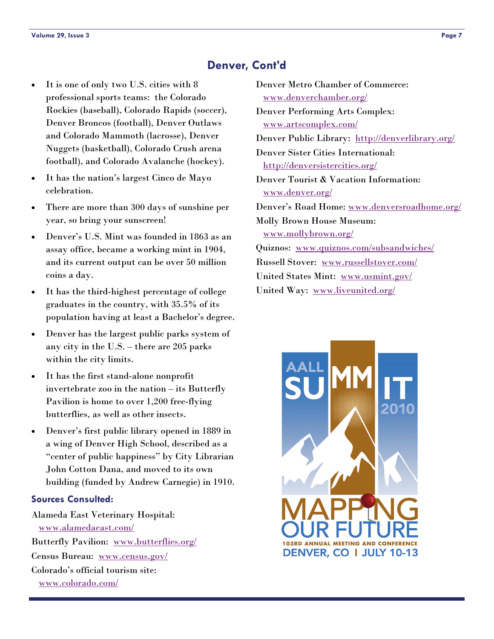### **Denver, Cont'd**

- <span id="page-6-0"></span> It is one of only two U.S. cities with 8 professional sports teams: the Colorado Rockies (baseball), Colorado Rapids (soccer), Denver Broncos (football), Denver Outlaws and Colorado Mammoth (lacrosse), Denver Nuggets (basketball), Colorado Crush arena football), and Colorado Avalanche (hockey).
- It has the nation's largest Cinco de Mayo celebration.
- There are more than 300 days of sunshine per year, so bring your sunscreen!
- Denver's U.S. Mint was founded in 1863 as an assay office, became a working mint in 1904, and its current output can be over 50 million coins a day.
- It has the third-highest percentage of college graduates in the country, with 35.5% of its population having at least a Bachelor's degree.
- Denver has the largest public parks system of any city in the U.S. – there are 205 parks within the city limits.
- It has the first stand-alone nonprofit invertebrate zoo in the nation – its Butterfly Pavilion is home to over 1,200 free-flying butterflies, as well as other insects.
- Denver's first public library opened in 1889 in a wing of Denver High School, described as a "center of public happiness" by City Librarian John Cotton Dana, and moved to its own building (funded by Andrew Carnegie) in 1910.

#### **Sources Consulted:**

Alameda East Veterinary Hospital: [www.alamedaeast.com/](http://www.alamedaeast.com/) Butterfly Pavilion: [www.butterflies.org/](http://www.butterflies.org/) Census Bureau: [www.census.gov/](http://www.census.gov/) Colorado's official tourism site: [www.colorado.com/](http://www.colorado.com/)

| Denver Metro Chamber of Commerce:                |
|--------------------------------------------------|
| www.denverchamber.org/                           |
| <b>Denver Performing Arts Complex:</b>           |
| www.artscomplex.com/                             |
| Denver Public Library: http://denverlibrary.org/ |
| Denver Sister Cities International:              |
| http://denversistercities.org/                   |
| Denver Tourist & Vacation Information:           |
| www.denver.org/                                  |
| Denver's Road Home: www.denversroadhome.org/     |
| <b>Molly Brown House Museum:</b>                 |
| www.mollybrown.org/                              |
| Quiznos: www.quiznos.com/subsandwiches/          |
| Russell Stover: www.russellstover.com/           |
| United States Mint: www.usmint.gov/              |
| United Way: www.liveunited.org/                  |

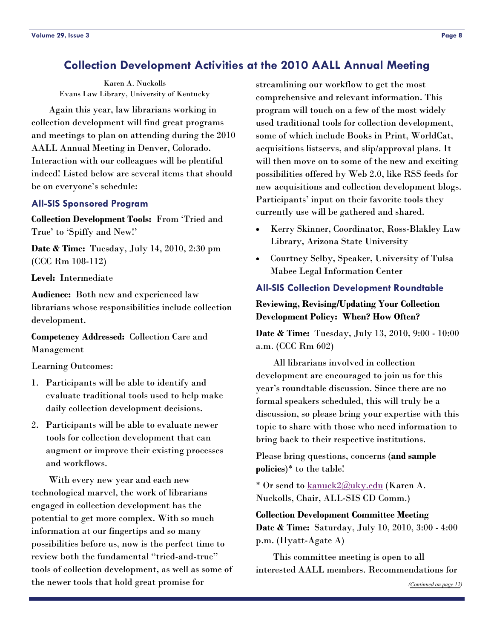### <span id="page-7-0"></span>**Collection Development Activities at the 2010 AALL Annual Meeting**

Karen A. Nuckolls Evans Law Library, University of Kentucky

 Again this year, law librarians working in collection development will find great programs and meetings to plan on attending during the 2010 AALL Annual Meeting in Denver, Colorado. Interaction with our colleagues will be plentiful indeed! Listed below are several items that should be on everyone's schedule:

#### **All-SIS Sponsored Program**

**Collection Development Tools:** From 'Tried and True' to 'Spiffy and New!'

**Date & Time:** Tuesday, July 14, 2010, 2:30 pm (CCC Rm 108-112)

**Level:** Intermediate

**Audience:** Both new and experienced law librarians whose responsibilities include collection development.

#### **Competency Addressed:** Collection Care and Management

Learning Outcomes:

- 1. Participants will be able to identify and evaluate traditional tools used to help make daily collection development decisions.
- 2. Participants will be able to evaluate newer tools for collection development that can augment or improve their existing processes and workflows.

 With every new year and each new technological marvel, the work of librarians engaged in collection development has the potential to get more complex. With so much information at our fingertips and so many possibilities before us, now is the perfect time to review both the fundamental "tried-and-true" tools of collection development, as well as some of the newer tools that hold great promise for

streamlining our workflow to get the most comprehensive and relevant information. This program will touch on a few of the most widely used traditional tools for collection development, some of which include Books in Print, WorldCat, acquisitions listservs, and slip/approval plans. It will then move on to some of the new and exciting possibilities offered by Web 2.0, like RSS feeds for new acquisitions and collection development blogs. Participants' input on their favorite tools they currently use will be gathered and shared.

- Kerry Skinner, Coordinator, Ross-Blakley Law Library, Arizona State University
- Courtney Selby, Speaker, University of Tulsa Mabee Legal Information Center

#### **All-SIS Collection Development Roundtable**

#### **Reviewing, Revising/Updating Your Collection Development Policy: When? How Often?**

**Date & Time:** Tuesday, July 13, 2010, 9:00 - 10:00 a.m. (CCC Rm 602)

 All librarians involved in collection development are encouraged to join us for this year's roundtable discussion. Since there are no formal speakers scheduled, this will truly be a discussion, so please bring your expertise with this topic to share with those who need information to bring back to their respective institutions.

Please bring questions, concerns (**and sample policies**)\* to the table!

\* Or send to [kanuck2@uky.edu](mailto:kanuck2@uky.edu) (Karen A. Nuckolls, Chair, ALL-SIS CD Comm.)

**Collection Development Committee Meeting Date & Time:** Saturday, July 10, 2010, 3:00 - 4:00 p.m. (Hyatt-Agate A)

 This committee meeting is open to all interested AALL members. Recommendations for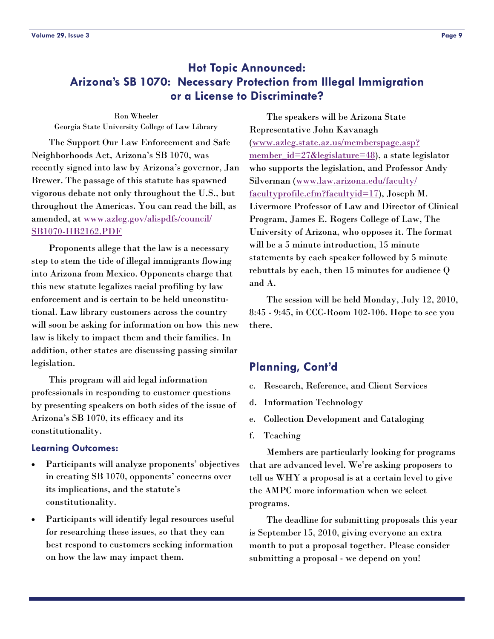### <span id="page-8-0"></span>**Hot Topic Announced: Arizona's SB 1070: Necessary Protection from Illegal Immigration or a License to Discriminate?**

Ron Wheeler Georgia State University College of Law Library

 The Support Our Law Enforcement and Safe Neighborhoods Act, Arizona's SB 1070, was recently signed into law by Arizona's governor, Jan Brewer. The passage of this statute has spawned vigorous debate not only throughout the U.S., but throughout the Americas. You can read the bill, as amended, at [www.azleg.gov/alispdfs/council/](http://www.azleg.gov/alispdfs/council/SB1070-HB2162.PDF) [SB1070-HB2162.PDF](http://www.azleg.gov/alispdfs/council/SB1070-HB2162.PDF)

 Proponents allege that the law is a necessary step to stem the tide of illegal immigrants flowing into Arizona from Mexico. Opponents charge that this new statute legalizes racial profiling by law enforcement and is certain to be held unconstitutional. Law library customers across the country will soon be asking for information on how this new law is likely to impact them and their families. In addition, other states are discussing passing similar legislation.

 This program will aid legal information professionals in responding to customer questions by presenting speakers on both sides of the issue of Arizona's SB 1070, its efficacy and its constitutionality.

#### **Learning Outcomes:**

- Participants will analyze proponents' objectives in creating SB 1070, opponents' concerns over its implications, and the statute's constitutionality.
- Participants will identify legal resources useful for researching these issues, so that they can best respond to customers seeking information on how the law may impact them.

 The speakers will be Arizona State Representative John Kavanagh ([www.azleg.state.az.us/memberspage.asp?](http://www.azleg.state.az.us/memberspage.asp?member_id=27&legislature=48) member  $id=27&\text{degree}=48$ ), a state legislator who supports the legislation, and Professor Andy Silverman ([www.law.arizona.edu/faculty/](http://www.law.arizona.edu/faculty/facultyprofile.cfm?facultyid=17) [facultyprofile.cfm?facultyid=17](http://www.law.arizona.edu/faculty/facultyprofile.cfm?facultyid=17)), Joseph M. Livermore Professor of Law and Director of Clinical Program, James E. Rogers College of Law, The University of Arizona, who opposes it. The format will be a 5 minute introduction, 15 minute statements by each speaker followed by 5 minute rebuttals by each, then 15 minutes for audience Q and A.

 The session will be held Monday, July 12, 2010, 8:45 - 9:45, in CCC-Room 102-106. Hope to see you there.

### **Planning, Cont'd**

- c. Research, Reference, and Client Services
- d. Information Technology
- e. Collection Development and Cataloging
- f. Teaching

 Members are particularly looking for programs that are advanced level. We're asking proposers to tell us WHY a proposal is at a certain level to give the AMPC more information when we select programs.

 The deadline for submitting proposals this year is September 15, 2010, giving everyone an extra month to put a proposal together. Please consider submitting a proposal - we depend on you!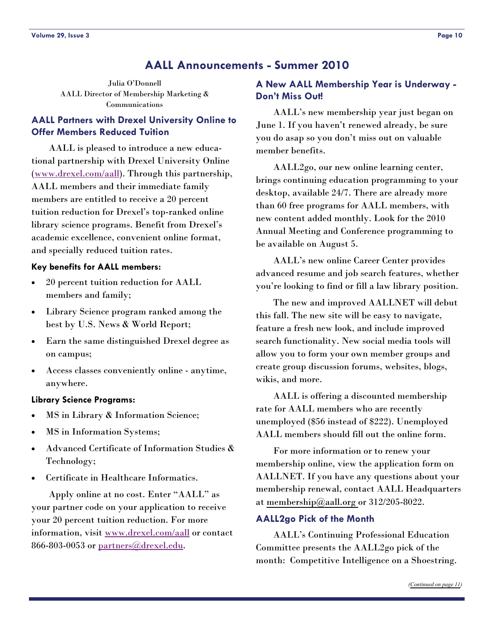### **AALL Announcements - Summer 2010**

<span id="page-9-0"></span>Julia O'Donnell AALL Director of Membership Marketing & Communications

### **AALL Partners with Drexel University Online to Offer Members Reduced Tuition**

 AALL is pleased to introduce a new educational partnership with Drexel University Online ([www.drexel.com/aall](http://www.drexel.com/aall)). Through this partnership, AALL members and their immediate family members are entitled to receive a 20 percent tuition reduction for Drexel's top-ranked online library science programs. Benefit from Drexel's academic excellence, convenient online format, and specially reduced tuition rates.

#### **Key benefits for AALL members:**

- 20 percent tuition reduction for AALL members and family;
- Library Science program ranked among the best by U.S. News & World Report;
- Earn the same distinguished Drexel degree as on campus;
- Access classes conveniently online anytime, anywhere.

#### **Library Science Programs:**

- MS in Library & Information Science;
- MS in Information Systems;
- Advanced Certificate of Information Studies & Technology;
- Certificate in Healthcare Informatics.

 Apply online at no cost. Enter "AALL" as your partner code on your application to receive your 20 percent tuition reduction. For more information, visit [www.drexel.com/aall](http://www.drexel.com/aall) or contact 866-803-0053 or [partners@drexel.edu](mailto:partners@drexel.edu).

#### **A New AALL Membership Year is Underway - Don't Miss Out!**

 AALL's new membership year just began on June 1. If you haven't renewed already, be sure you do asap so you don't miss out on valuable member benefits.

 AALL2go, our new online learning center, brings continuing education programming to your desktop, available 24/7. There are already more than 60 free programs for AALL members, with new content added monthly. Look for the 2010 Annual Meeting and Conference programming to be available on August 5.

 AALL's new online Career Center provides advanced resume and job search features, whether you're looking to find or fill a law library position.

 The new and improved AALLNET will debut this fall. The new site will be easy to navigate, feature a fresh new look, and include improved search functionality. New social media tools will allow you to form your own member groups and create group discussion forums, websites, blogs, wikis, and more.

 AALL is offering a discounted membership rate for AALL members who are recently unemployed (\$56 instead of \$222). Unemployed AALL members should fill out the online form.

 For more information or to renew your membership online, view the application form on AALLNET. If you have any questions about your membership renewal, contact AALL Headquarters at [membership@aall.org o](mailto:membership@aall.org)r 312/205-8022.

#### **AALL2go Pick of the Month**

 AALL's Continuing Professional Education Committee presents the AALL2go pick of the month: Competitive Intelligence on a Shoestring.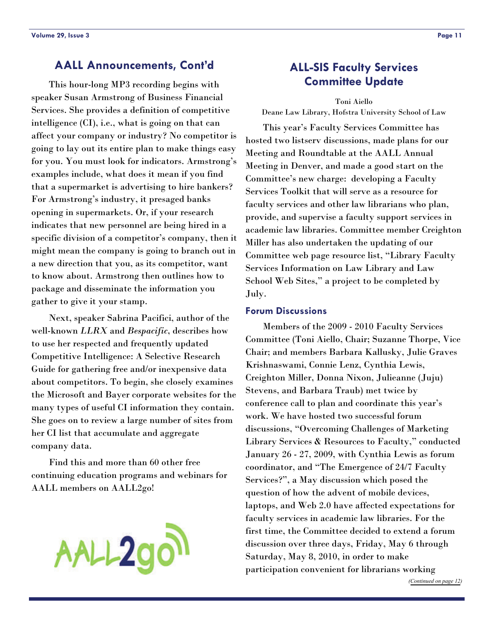### <span id="page-10-0"></span>**AALL Announcements, Cont'd**

 This hour-long MP3 recording begins with speaker Susan Armstrong of Business Financial Services. She provides a definition of competitive intelligence (CI), i.e., what is going on that can affect your company or industry? No competitor is going to lay out its entire plan to make things easy for you. You must look for indicators. Armstrong's examples include, what does it mean if you find that a supermarket is advertising to hire bankers? For Armstrong's industry, it presaged banks opening in supermarkets. Or, if your research indicates that new personnel are being hired in a specific division of a competitor's company, then it might mean the company is going to branch out in a new direction that you, as its competitor, want to know about. Armstrong then outlines how to package and disseminate the information you gather to give it your stamp.

 Next, speaker Sabrina Pacifici, author of the well-known *LLRX* and *Bespacific*, describes how to use her respected and frequently updated Competitive Intelligence: A Selective Research Guide for gathering free and/or inexpensive data about competitors. To begin, she closely examines the Microsoft and Bayer corporate websites for the many types of useful CI information they contain. She goes on to review a large number of sites from her CI list that accumulate and aggregate company data.

 Find this and more than 60 other free continuing education programs and webinars for AALL members on AALL2go!



### **ALL-SIS Faculty Services Committee Update**

Toni Aiello Deane Law Library, Hofstra University School of Law

 This year's Faculty Services Committee has hosted two listserv discussions, made plans for our Meeting and Roundtable at the AALL Annual Meeting in Denver, and made a good start on the Committee's new charge: developing a Faculty Services Toolkit that will serve as a resource for faculty services and other law librarians who plan, provide, and supervise a faculty support services in academic law libraries. Committee member Creighton Miller has also undertaken the updating of our Committee web page resource list, "Library Faculty Services Information on Law Library and Law School Web Sites," a project to be completed by July.

#### **Forum Discussions**

 Members of the 2009 - 2010 Faculty Services Committee (Toni Aiello, Chair; Suzanne Thorpe, Vice Chair; and members Barbara Kallusky, Julie Graves Krishnaswami, Connie Lenz, Cynthia Lewis, Creighton Miller, Donna Nixon, Julieanne (Juju) Stevens, and Barbara Traub) met twice by conference call to plan and coordinate this year's work. We have hosted two successful forum discussions, "Overcoming Challenges of Marketing Library Services & Resources to Faculty," conducted January 26 - 27, 2009, with Cynthia Lewis as forum coordinator, and "The Emergence of 24/7 Faculty Services?", a May discussion which posed the question of how the advent of mobile devices, laptops, and Web 2.0 have affected expectations for faculty services in academic law libraries. For the first time, the Committee decided to extend a forum discussion over three days, Friday, May 6 through Saturday, May 8, 2010, in order to make participation convenient for librarians working

*([Continued on page 12\)](#page-11-0)*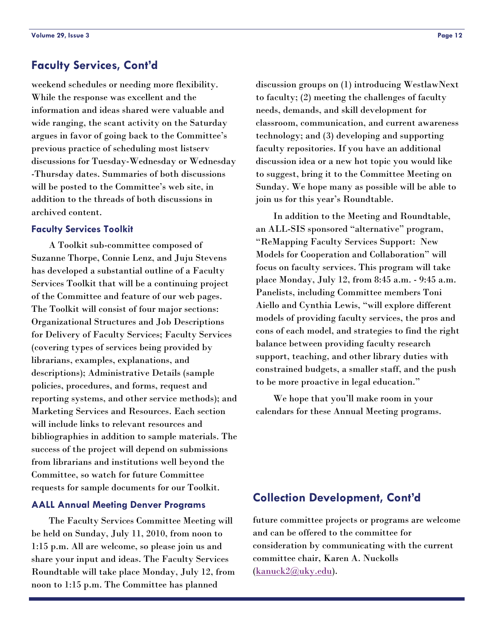### <span id="page-11-0"></span>**Faculty Services, Cont'd**

weekend schedules or needing more flexibility. While the response was excellent and the information and ideas shared were valuable and wide ranging, the scant activity on the Saturday argues in favor of going back to the Committee's previous practice of scheduling most listserv discussions for Tuesday-Wednesday or Wednesday -Thursday dates. Summaries of both discussions will be posted to the Committee's web site, in addition to the threads of both discussions in archived content.

#### **Faculty Services Toolkit**

 A Toolkit sub-committee composed of Suzanne Thorpe, Connie Lenz, and Juju Stevens has developed a substantial outline of a Faculty Services Toolkit that will be a continuing project of the Committee and feature of our web pages. The Toolkit will consist of four major sections: Organizational Structures and Job Descriptions for Delivery of Faculty Services; Faculty Services (covering types of services being provided by librarians, examples, explanations, and descriptions); Administrative Details (sample policies, procedures, and forms, request and reporting systems, and other service methods); and Marketing Services and Resources. Each section will include links to relevant resources and bibliographies in addition to sample materials. The success of the project will depend on submissions from librarians and institutions well beyond the Committee, so watch for future Committee requests for sample documents for our Toolkit.

#### **AALL Annual Meeting Denver Programs**

 The Faculty Services Committee Meeting will be held on Sunday, July 11, 2010, from noon to 1:15 p.m. All are welcome, so please join us and share your input and ideas. The Faculty Services Roundtable will take place Monday, July 12, from noon to 1:15 p.m. The Committee has planned

discussion groups on (1) introducing WestlawNext to faculty; (2) meeting the challenges of faculty needs, demands, and skill development for classroom, communication, and current awareness technology; and (3) developing and supporting faculty repositories. If you have an additional discussion idea or a new hot topic you would like to suggest, bring it to the Committee Meeting on Sunday. We hope many as possible will be able to join us for this year's Roundtable.

 In addition to the Meeting and Roundtable, an ALL-SIS sponsored "alternative" program, "ReMapping Faculty Services Support: New Models for Cooperation and Collaboration" will focus on faculty services. This program will take place Monday, July 12, from 8:45 a.m. - 9:45 a.m. Panelists, including Committee members Toni Aiello and Cynthia Lewis, "will explore different models of providing faculty services, the pros and cons of each model, and strategies to find the right balance between providing faculty research support, teaching, and other library duties with constrained budgets, a smaller staff, and the push to be more proactive in legal education."

 We hope that you'll make room in your calendars for these Annual Meeting programs.

### **Collection Development, Cont'd**

future committee projects or programs are welcome and can be offered to the committee for consideration by communicating with the current committee chair, Karen A. Nuckolls [\(kanuck2@uky.edu](mailto:kanuck2@uky.edu)).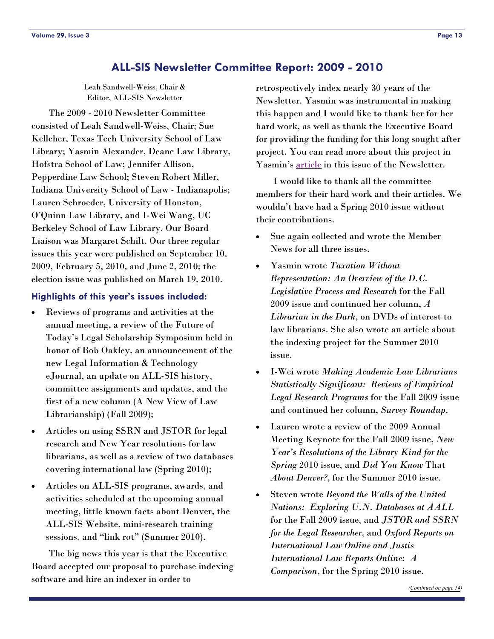### **ALL-SIS Newsletter Committee Report: 2009 - 2010**

Leah Sandwell-Weiss, Chair & Editor, ALL-SIS Newsletter

<span id="page-12-0"></span> The 2009 - 2010 Newsletter Committee consisted of Leah Sandwell-Weiss, Chair; Sue Kelleher, Texas Tech University School of Law Library; Yasmin Alexander, Deane Law Library, Hofstra School of Law; Jennifer Allison, Pepperdine Law School; Steven Robert Miller, Indiana University School of Law - Indianapolis; Lauren Schroeder, University of Houston, O'Quinn Law Library, and I-Wei Wang, UC Berkeley School of Law Library. Our Board Liaison was Margaret Schilt. Our three regular issues this year were published on September 10, 2009, February 5, 2010, and June 2, 2010; the election issue was published on March 19, 2010.

#### **Highlights of this year's issues included:**

- Reviews of programs and activities at the annual meeting, a review of the Future of Today's Legal Scholarship Symposium held in honor of Bob Oakley, an announcement of the new Legal Information & Technology eJournal, an update on ALL-SIS history, committee assignments and updates, and the first of a new column (A New View of Law Librarianship) (Fall 2009);
- Articles on using SSRN and JSTOR for legal research and New Year resolutions for law librarians, as well as a review of two databases covering international law (Spring 2010);
- Articles on ALL-SIS programs, awards, and activities scheduled at the upcoming annual meeting, little known facts about Denver, the ALL-SIS Website, mini-research training sessions, and "link rot" (Summer 2010).

 The big news this year is that the Executive Board accepted our proposal to purchase indexing software and hire an indexer in order to

retrospectively index nearly 30 years of the Newsletter. Yasmin was instrumental in making this happen and I would like to thank her for her hard work, as well as thank the Executive Board for providing the funding for this long sought after project. You can read more about this project in Yasmin's [article](#page-13-0) in this issue of the Newsletter.

 I would like to thank all the committee members for their hard work and their articles. We wouldn't have had a Spring 2010 issue without their contributions.

- Sue again collected and wrote the Member News for all three issues.
- Yasmin wrote *Taxation Without Representation: An Overview of the D.C. Legislative Process and Research* for the Fall 2009 issue and continued her column, *A Librarian in the Dark*, on DVDs of interest to law librarians. She also wrote an article about the indexing project for the Summer 2010 issue.
- I-Wei wrote *Making Academic Law Librarians Statistically Significant: Reviews of Empirical Legal Research Programs* for the Fall 2009 issue and continued her column, *Survey Roundup*.
- Lauren wrote a review of the 2009 Annual Meeting Keynote for the Fall 2009 issue, *New Year's Resolutions of the Library Kind for the Spring* 2010 issue, and *Did You Know* That *About Denver?*, for the Summer 2010 issue.
- Steven wrote *Beyond the Walls of the United Nations: Exploring U.N. Databases at AALL* for the Fall 2009 issue, and *JSTOR and SSRN for the Legal Researcher*, and *Oxford Reports on International Law Online and Justis International Law Reports Online: A Comparison*, for the Spring 2010 issue.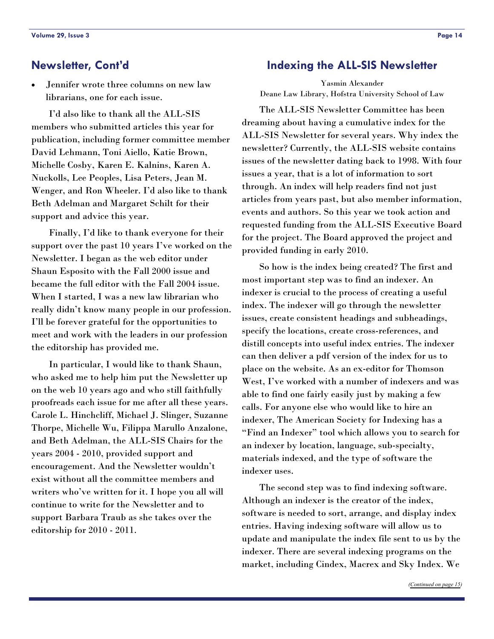Jennifer wrote three columns on new law librarians, one for each issue.

 I'd also like to thank all the ALL-SIS members who submitted articles this year for publication, including former committee member David Lehmann, Toni Aiello, Katie Brown, Michelle Cosby, Karen E. Kalnins, Karen A. Nuckolls, Lee Peoples, Lisa Peters, Jean M. Wenger, and Ron Wheeler. I'd also like to thank Beth Adelman and Margaret Schilt for their support and advice this year.

 Finally, I'd like to thank everyone for their support over the past 10 years I've worked on the Newsletter. I began as the web editor under Shaun Esposito with the Fall 2000 issue and became the full editor with the Fall 2004 issue. When I started, I was a new law librarian who really didn't know many people in our profession. I'll be forever grateful for the opportunities to meet and work with the leaders in our profession the editorship has provided me.

 In particular, I would like to thank Shaun, who asked me to help him put the Newsletter up on the web 10 years ago and who still faithfully proofreads each issue for me after all these years. Carole L. Hinchcliff, Michael J. Slinger, Suzanne Thorpe, Michelle Wu, Filippa Marullo Anzalone, and Beth Adelman, the ALL-SIS Chairs for the years 2004 - 2010, provided support and encouragement. And the Newsletter wouldn't exist without all the committee members and writers who've written for it. I hope you all will continue to write for the Newsletter and to support Barbara Traub as she takes over the editorship for 2010 - 2011.

#### <span id="page-13-0"></span>**Newsletter, Cont'd Indexing the ALL-SIS Newsletter**

Yasmin Alexander Deane Law Library, Hofstra University School of Law

 The ALL-SIS Newsletter Committee has been dreaming about having a cumulative index for the ALL-SIS Newsletter for several years. Why index the newsletter? Currently, the ALL-SIS website contains issues of the newsletter dating back to 1998. With four issues a year, that is a lot of information to sort through. An index will help readers find not just articles from years past, but also member information, events and authors. So this year we took action and requested funding from the ALL-SIS Executive Board for the project. The Board approved the project and provided funding in early 2010.

 So how is the index being created? The first and most important step was to find an indexer. An indexer is crucial to the process of creating a useful index. The indexer will go through the newsletter issues, create consistent headings and subheadings, specify the locations, create cross-references, and distill concepts into useful index entries. The indexer can then deliver a pdf version of the index for us to place on the website. As an ex-editor for Thomson West, I've worked with a number of indexers and was able to find one fairly easily just by making a few calls. For anyone else who would like to hire an indexer, The American Society for Indexing has a "Find an Indexer" tool which allows you to search for an indexer by location, language, sub-specialty, materials indexed, and the type of software the indexer uses.

 The second step was to find indexing software. Although an indexer is the creator of the index, software is needed to sort, arrange, and display index entries. Having indexing software will allow us to update and manipulate the index file sent to us by the indexer. There are several indexing programs on the market, including Cindex, Macrex and Sky Index. We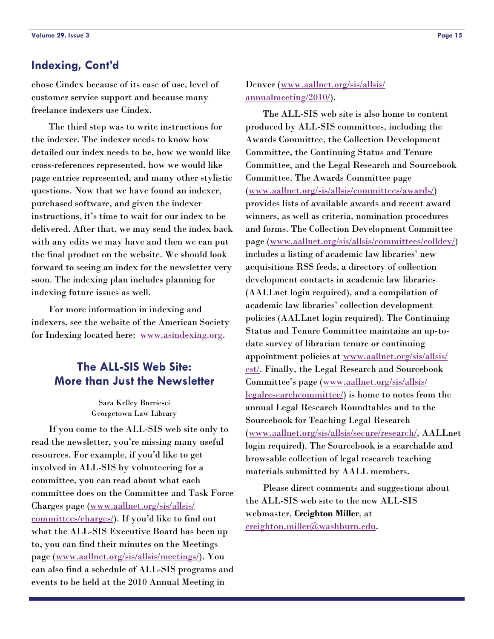### <span id="page-14-0"></span>**Indexing, Cont'd**

chose Cindex because of its ease of use, level of customer service support and because many freelance indexers use Cindex.

 The third step was to write instructions for the indexer. The indexer needs to know how detailed our index needs to be, how we would like cross-references represented, how we would like page entries represented, and many other stylistic questions. Now that we have found an indexer, purchased software, and given the indexer instructions, it's time to wait for our index to be delivered. After that, we may send the index back with any edits we may have and then we can put the final product on the website. We should look forward to seeing an index for the newsletter very soon. The indexing plan includes planning for indexing future issues as well.

 For more information in indexing and indexers, see the website of the American Society for Indexing located here: [www.asindexing.org.](http://www.asindexing.org)

### **The ALL-SIS Web Site: More than Just the Newsletter**

Sara Kelley Burriesci Georgetown Law Library

 If you come to the ALL-SIS web site only to read the newsletter, you're missing many useful resources. For example, if you'd like to get involved in ALL-SIS by volunteering for a committee, you can read about what each committee does on the Committee and Task Force Charges page ([www.aallnet.org/sis/allsis/](http://www.aallnet.org/sis/allsis/committees/charges/) [committees/charges/\)](http://www.aallnet.org/sis/allsis/committees/charges/). If you'd like to find out what the ALL-SIS Executive Board has been up to, you can find their minutes on the Meetings page ([www.aallnet.org/sis/allsis/meetings/](http://www.aallnet.org/sis/allsis/meetings/)). You can also find a schedule of ALL-SIS programs and events to be held at the 2010 Annual Meeting in

Denver ([www.aallnet.org/sis/allsis/](http://www.aallnet.org/sis/allsis/annualmeeting/2010/) [annualmeeting/2010/\)](http://www.aallnet.org/sis/allsis/annualmeeting/2010/).

 The ALL-SIS web site is also home to content produced by ALL-SIS committees, including the Awards Committee, the Collection Development Committee, the Continuing Status and Tenure Committee, and the Legal Research and Sourcebook Committee. The Awards Committee page [\(www.aallnet.org/sis/allsis/committees/awards/](http://www.aallnet.org/sis/allsis/committees/awards/)) provides lists of available awards and recent award winners, as well as criteria, nomination procedures and forms. The Collection Development Committee page ([www.aallnet.org/sis/allsis/committees/colldev/](http://www.aallnet.org/sis/allsis/committees/colldev/)) includes a listing of academic law libraries' new acquisitions RSS feeds, a directory of collection development contacts in academic law libraries (AALLnet login required), and a compilation of academic law libraries' collection development policies (AALLnet login required). The Continuing Status and Tenure Committee maintains an up-todate survey of librarian tenure or continuing appointment policies at [www.aallnet.org/sis/allsis/](http://www.aallnet.org/sis/allsis/cst/) [cst/](http://www.aallnet.org/sis/allsis/cst/). Finally, the Legal Research and Sourcebook Committee's page [\(www.aallnet.org/sis/allsis/](http://www.aallnet.org/sis/allsis/legalresearchcommittee/) [legalresearchcommittee/](http://www.aallnet.org/sis/allsis/legalresearchcommittee/)) is home to notes from the annual Legal Research Roundtables and to the Sourcebook for Teaching Legal Research [\(www.aallnet.org/sis/allsis/secure/research/](http://www.aallnet.org/sis/allsis/secure/research/), AALLnet login required). The Sourcebook is a searchable and browsable collection of legal research teaching materials submitted by AALL members.

 Please direct comments and suggestions about the ALL-SIS web site to the new ALL-SIS webmaster, **Creighton Miller**, at [creighton.miller@washburn.edu](mailto:creighton.miller@washburn.edu).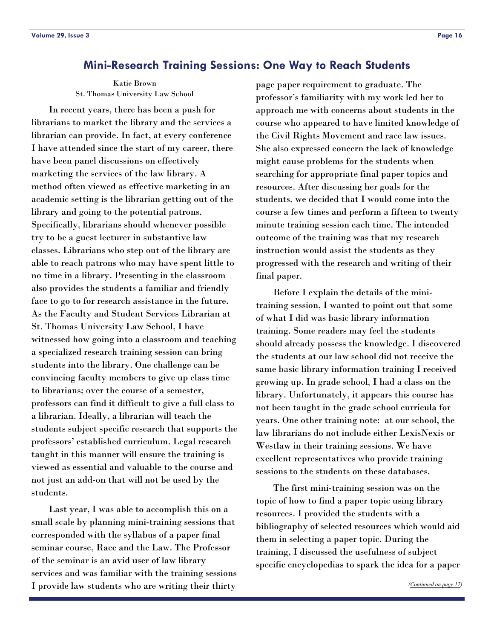### <span id="page-15-0"></span>**Mini-Research Training Sessions: One Way to Reach Students**

Katie Brown St. Thomas University Law School

 In recent years, there has been a push for librarians to market the library and the services a librarian can provide. In fact, at every conference I have attended since the start of my career, there have been panel discussions on effectively marketing the services of the law library. A method often viewed as effective marketing in an academic setting is the librarian getting out of the library and going to the potential patrons. Specifically, librarians should whenever possible try to be a guest lecturer in substantive law classes. Librarians who step out of the library are able to reach patrons who may have spent little to no time in a library. Presenting in the classroom also provides the students a familiar and friendly face to go to for research assistance in the future. As the Faculty and Student Services Librarian at St. Thomas University Law School, I have witnessed how going into a classroom and teaching a specialized research training session can bring students into the library. One challenge can be convincing faculty members to give up class time to librarians; over the course of a semester, professors can find it difficult to give a full class to a librarian. Ideally, a librarian will teach the students subject specific research that supports the professors' established curriculum. Legal research taught in this manner will ensure the training is viewed as essential and valuable to the course and not just an add-on that will not be used by the students.

 Last year, I was able to accomplish this on a small scale by planning mini-training sessions that corresponded with the syllabus of a paper final seminar course, Race and the Law. The Professor of the seminar is an avid user of law library services and was familiar with the training sessions I provide law students who are writing their thirty

page paper requirement to graduate. The professor's familiarity with my work led her to approach me with concerns about students in the course who appeared to have limited knowledge of the Civil Rights Movement and race law issues. She also expressed concern the lack of knowledge might cause problems for the students when searching for appropriate final paper topics and resources. After discussing her goals for the students, we decided that I would come into the course a few times and perform a fifteen to twenty minute training session each time. The intended outcome of the training was that my research instruction would assist the students as they progressed with the research and writing of their final paper.

 Before I explain the details of the minitraining session, I wanted to point out that some of what I did was basic library information training. Some readers may feel the students should already possess the knowledge. I discovered the students at our law school did not receive the same basic library information training I received growing up. In grade school, I had a class on the library. Unfortunately, it appears this course has not been taught in the grade school curricula for years. One other training note: at our school, the law librarians do not include either LexisNexis or Westlaw in their training sessions. We have excellent representatives who provide training sessions to the students on these databases.

 The first mini-training session was on the topic of how to find a paper topic using library resources. I provided the students with a bibliography of selected resources which would aid them in selecting a paper topic. During the training, I discussed the usefulness of subject specific encyclopedias to spark the idea for a paper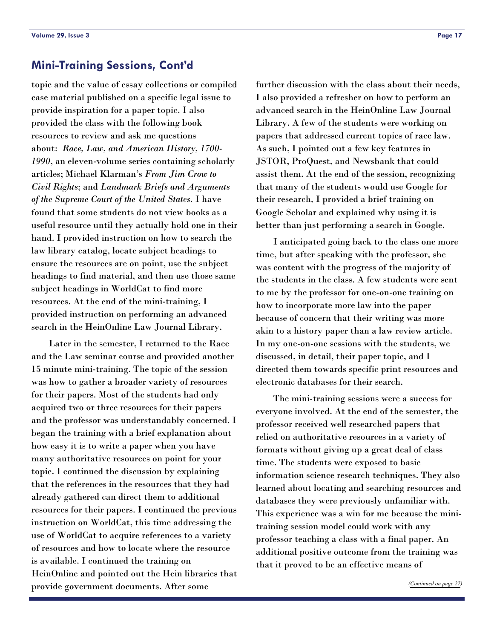### <span id="page-16-0"></span>**Mini-Training Sessions, Cont'd**

topic and the value of essay collections or compiled case material published on a specific legal issue to provide inspiration for a paper topic. I also provided the class with the following book resources to review and ask me questions about: *Race, Law, and American History, 1700- 1990*, an eleven-volume series containing scholarly articles; Michael Klarman's *From Jim Crow to Civil Rights*; and *Landmark Briefs and Arguments of the Supreme Court of the United States*. I have found that some students do not view books as a useful resource until they actually hold one in their hand. I provided instruction on how to search the law library catalog, locate subject headings to ensure the resources are on point, use the subject headings to find material, and then use those same subject headings in WorldCat to find more resources. At the end of the mini-training, I provided instruction on performing an advanced search in the HeinOnline Law Journal Library.

 Later in the semester, I returned to the Race and the Law seminar course and provided another 15 minute mini-training. The topic of the session was how to gather a broader variety of resources for their papers. Most of the students had only acquired two or three resources for their papers and the professor was understandably concerned. I began the training with a brief explanation about how easy it is to write a paper when you have many authoritative resources on point for your topic. I continued the discussion by explaining that the references in the resources that they had already gathered can direct them to additional resources for their papers. I continued the previous instruction on WorldCat, this time addressing the use of WorldCat to acquire references to a variety of resources and how to locate where the resource is available. I continued the training on HeinOnline and pointed out the Hein libraries that provide government documents. After some

further discussion with the class about their needs, I also provided a refresher on how to perform an advanced search in the HeinOnline Law Journal Library. A few of the students were working on papers that addressed current topics of race law. As such, I pointed out a few key features in JSTOR, ProQuest, and Newsbank that could assist them. At the end of the session, recognizing that many of the students would use Google for their research, I provided a brief training on Google Scholar and explained why using it is better than just performing a search in Google.

 I anticipated going back to the class one more time, but after speaking with the professor, she was content with the progress of the majority of the students in the class. A few students were sent to me by the professor for one-on-one training on how to incorporate more law into the paper because of concern that their writing was more akin to a history paper than a law review article. In my one-on-one sessions with the students, we discussed, in detail, their paper topic, and I directed them towards specific print resources and electronic databases for their search.

 The mini-training sessions were a success for everyone involved. At the end of the semester, the professor received well researched papers that relied on authoritative resources in a variety of formats without giving up a great deal of class time. The students were exposed to basic information science research techniques. They also learned about locating and searching resources and databases they were previously unfamiliar with. This experience was a win for me because the minitraining session model could work with any professor teaching a class with a final paper. An additional positive outcome from the training was that it proved to be an effective means of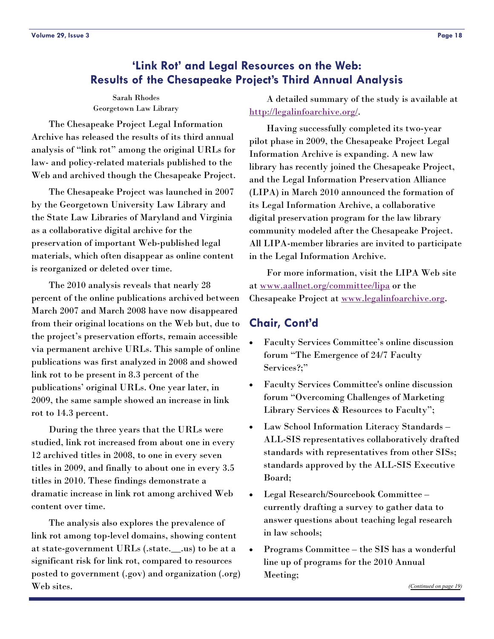### <span id="page-17-0"></span>**'Link Rot' and Legal Resources on the Web: Results of the Chesapeake Project's Third Annual Analysis**

Sarah Rhodes Georgetown Law Library

 The Chesapeake Project Legal Information Archive has released the results of its third annual analysis of "link rot" among the original URLs for law- and policy-related materials published to the Web and archived though the Chesapeake Project.

 The Chesapeake Project was launched in 2007 by the Georgetown University Law Library and the State Law Libraries of Maryland and Virginia as a collaborative digital archive for the preservation of important Web-published legal materials, which often disappear as online content is reorganized or deleted over time.

 The 2010 analysis reveals that nearly 28 percent of the online publications archived between March 2007 and March 2008 have now disappeared from their original locations on the Web but, due to the project's preservation efforts, remain accessible via permanent archive URLs. This sample of online publications was first analyzed in 2008 and showed link rot to be present in 8.3 percent of the publications' original URLs. One year later, in 2009, the same sample showed an increase in link rot to 14.3 percent.

 During the three years that the URLs were studied, link rot increased from about one in every 12 archived titles in 2008, to one in every seven titles in 2009, and finally to about one in every 3.5 titles in 2010. These findings demonstrate a dramatic increase in link rot among archived Web content over time.

 The analysis also explores the prevalence of link rot among top-level domains, showing content at state-government URLs (.state.\_\_.us) to be at a significant risk for link rot, compared to resources posted to government (.gov) and organization (.org) Web sites.

 A detailed summary of the study is available at [http://legalinfoarchive.org/.](http://legalinfoarchive.org/)

 Having successfully completed its two-year pilot phase in 2009, the Chesapeake Project Legal Information Archive is expanding. A new law library has recently joined the Chesapeake Project, and the Legal Information Preservation Alliance (LIPA) in March 2010 announced the formation of its Legal Information Archive, a collaborative digital preservation program for the law library community modeled after the Chesapeake Project. All LIPA-member libraries are invited to participate in the Legal Information Archive.

 For more information, visit the LIPA Web site at [www.aallnet.org/committee/lipa](http://www.aallnet.org/committee/lipa) or the Chesapeake Project at [www.legalinfoarchive.org](http://www.legalinfoarchive.org).

### **Chair, Cont'd**

- Faculty Services Committee's online discussion forum "The Emergence of 24/7 Faculty Services?;"
- Faculty Services Committee's online discussion forum "Overcoming Challenges of Marketing Library Services & Resources to Faculty";
- Law School Information Literacy Standards ALL-SIS representatives collaboratively drafted standards with representatives from other SISs; standards approved by the ALL-SIS Executive Board;
- Legal Research/Sourcebook Committee currently drafting a survey to gather data to answer questions about teaching legal research in law schools;
- Programs Committee the SIS has a wonderful line up of programs for the 2010 Annual Meeting;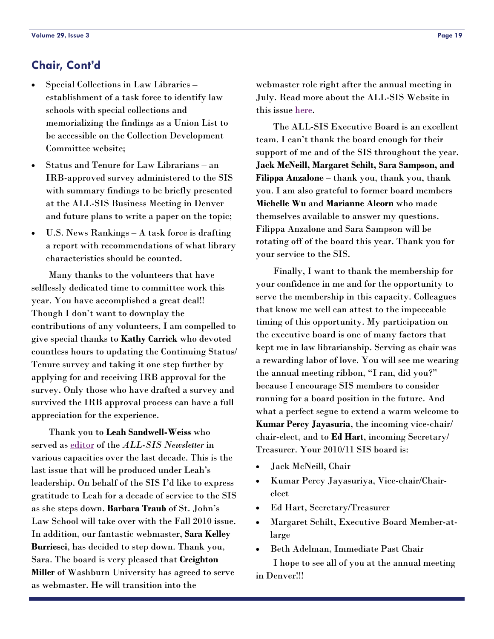### <span id="page-18-0"></span>**Chair, Cont'd**

- Special Collections in Law Libraries establishment of a task force to identify law schools with special collections and memorializing the findings as a Union List to be accessible on the Collection Development Committee website;
- Status and Tenure for Law Librarians an IRB-approved survey administered to the SIS with summary findings to be briefly presented at the ALL-SIS Business Meeting in Denver and future plans to write a paper on the topic;
- U.S. News Rankings A task force is drafting a report with recommendations of what library characteristics should be counted.

 Many thanks to the volunteers that have selflessly dedicated time to committee work this year. You have accomplished a great deal!! Though I don't want to downplay the contributions of any volunteers, I am compelled to give special thanks to **Kathy Carrick** who devoted countless hours to updating the Continuing Status/ Tenure survey and taking it one step further by applying for and receiving IRB approval for the survey. Only those who have drafted a survey and survived the IRB approval process can have a full appreciation for the experience.

 Thank you to **Leah Sandwell-Weiss** who served as [editor](#page-12-0) of the *ALL-SIS Newsletter* in various capacities over the last decade. This is the last issue that will be produced under Leah's leadership. On behalf of the SIS I'd like to express gratitude to Leah for a decade of service to the SIS as she steps down. **Barbara Traub** of St. John's Law School will take over with the Fall 2010 issue. In addition, our fantastic webmaster, **Sara Kelley Burriesci**, has decided to step down. Thank you, Sara. The board is very pleased that **Creighton Miller** of Washburn University has agreed to serve as webmaster. He will transition into the

webmaster role right after the annual meeting in July. Read more about the ALL-SIS Website in this issue [here](#page-14-0).

 The ALL-SIS Executive Board is an excellent team. I can't thank the board enough for their support of me and of the SIS throughout the year. **Jack McNeill, Margaret Schilt, Sara Sampson, and Filippa Anzalone** – thank you, thank you, thank you. I am also grateful to former board members **Michelle Wu** and **Marianne Alcorn** who made themselves available to answer my questions. Filippa Anzalone and Sara Sampson will be rotating off of the board this year. Thank you for your service to the SIS.

 Finally, I want to thank the membership for your confidence in me and for the opportunity to serve the membership in this capacity. Colleagues that know me well can attest to the impeccable timing of this opportunity. My participation on the executive board is one of many factors that kept me in law librarianship. Serving as chair was a rewarding labor of love. You will see me wearing the annual meeting ribbon, "I ran, did you?" because I encourage SIS members to consider running for a board position in the future. And what a perfect segue to extend a warm welcome to **Kumar Percy Jayasuria**, the incoming vice-chair/ chair-elect, and to **Ed Hart**, incoming Secretary/ Treasurer. Your 2010/11 SIS board is:

- Jack McNeill, Chair
- Kumar Percy Jayasuriya, Vice-chair/Chairelect
- Ed Hart, Secretary/Treasurer
- Margaret Schilt, Executive Board Member-atlarge
- Beth Adelman, Immediate Past Chair

 I hope to see all of you at the annual meeting in Denver!!!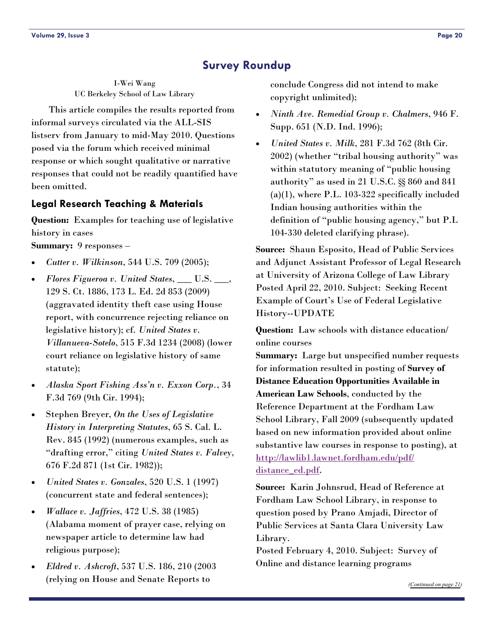### **Survey Roundup**

<span id="page-19-0"></span>I-Wei Wang UC Berkeley School of Law Library

 This article compiles the results reported from informal surveys circulated via the ALL-SIS listserv from January to mid-May 2010. Questions posed via the forum which received minimal response or which sought qualitative or narrative responses that could not be readily quantified have been omitted.

### **Legal Research Teaching & Materials**

**Question:** Examples for teaching use of legislative history in cases

**Summary:** 9 responses –

- *Cutter v. Wilkinson*, 544 U.S. 709 (2005);
- *Flores Figueroa v. United States*, \_\_\_ U.S. \_\_\_, 129 S. Ct. 1886, 173 L. Ed. 2d 853 (2009) (aggravated identity theft case using House report, with concurrence rejecting reliance on legislative history); cf. *United States v. Villanueva-Sotelo*, 515 F.3d 1234 (2008) (lower court reliance on legislative history of same statute);
- *Alaska Sport Fishing Ass'n v. Exxon Corp.*, 34 F.3d 769 (9th Cir. 1994);
- Stephen Breyer, *On the Uses of Legislative History in Interpreting Statutes*, 65 S. Cal. L. Rev. 845 (1992) (numerous examples, such as "drafting error," citing *United States v. Falvey*, 676 F.2d 871 (1st Cir. 1982));
- *United States v. Gonzales*, 520 U.S. 1 (1997) (concurrent state and federal sentences);
- *Wallace v. Jaffries*, 472 U.S. 38 (1985) (Alabama moment of prayer case, relying on newspaper article to determine law had religious purpose);
- *Eldred v. Ashcroft*, 537 U.S. 186, 210 (2003 (relying on House and Senate Reports to

conclude Congress did not intend to make copyright unlimited);

- *Ninth Ave. Remedial Group v. Chalmers*, 946 F. Supp. 651 (N.D. Ind. 1996);
- *United States v. Milk*, 281 F.3d 762 (8th Cir. 2002) (whether "tribal housing authority" was within statutory meaning of "public housing authority" as used in 21 U.S.C. §§ 860 and 841 (a)(1), where P.L. 103-322 specifically included Indian housing authorities within the definition of "public housing agency," but P.L 104-330 deleted clarifying phrase).

**Source:** Shaun Esposito, Head of Public Services and Adjunct Assistant Professor of Legal Research at University of Arizona College of Law Library Posted April 22, 2010. Subject: Seeking Recent Example of Court's Use of Federal Legislative History--UPDATE

**Question:** Law schools with distance education/ online courses

**Summary:** Large but unspecified number requests for information resulted in posting of **Survey of Distance Education Opportunities Available in American Law Schools**, conducted by the Reference Department at the Fordham Law School Library, Fall 2009 (subsequently updated based on new information provided about online substantive law courses in response to posting), at [http://lawlib1.lawnet.fordham.edu/pdf/](http://lawlib1.lawnet.fordham.edu/pdf/distance_ed.pdf) [distance\\_ed.pdf](http://lawlib1.lawnet.fordham.edu/pdf/distance_ed.pdf).

**Source:** Karin Johnsrud, Head of Reference at Fordham Law School Library, in response to question posed by Prano Amjadi, Director of Public Services at Santa Clara University Law Library.

Posted February 4, 2010. Subject: Survey of Online and distance learning programs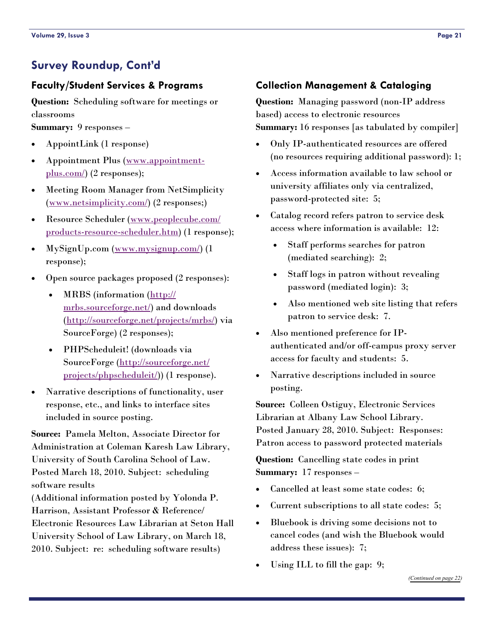### <span id="page-20-0"></span>**Survey Roundup, Cont'd**

### **Faculty/Student Services & Programs**

**Question:** Scheduling software for meetings or classrooms

**Summary:** 9 responses –

- AppointLink (1 response)
- Appointment Plus ([www.appointment](http://www.appointment-plus.com/)[plus.com/](http://www.appointment-plus.com/)) (2 responses);
- Meeting Room Manager from NetSimplicity ([www.netsimplicity.com/\)](http://www.netsimplicity.com/) (2 responses;)
- Resource Scheduler ([www.peoplecube.com/](http://www.peoplecube.com/products-resource-scheduler.htm) [products-resource-scheduler.htm\)](http://www.peoplecube.com/products-resource-scheduler.htm) (1 response);
- MySignUp.com ([www.mysignup.com/\)](http://www.mysignup.com/) (1 response);
- Open source packages proposed (2 responses):
	- MRBS (information ([http://](http://mrbs.sourceforge.net/) [mrbs.sourceforge.net/\)](http://mrbs.sourceforge.net/) and downloads ([http://sourceforge.net/projects/mrbs/\)](http://sourceforge.net/projects/mrbs/) via SourceForge) (2 responses);
	- PHPScheduleit! (downloads via SourceForge ([http://sourceforge.net/](http://sourceforge.net/projects/phpscheduleit/) [projects/phpscheduleit/](http://sourceforge.net/projects/phpscheduleit/))) (1 response).
- Narrative descriptions of functionality, user response, etc., and links to interface sites included in source posting.

**Source:** Pamela Melton, Associate Director for Administration at Coleman Karesh Law Library, University of South Carolina School of Law. Posted March 18, 2010. Subject: scheduling software results

(Additional information posted by Yolonda P. Harrison, Assistant Professor & Reference/ Electronic Resources Law Librarian at Seton Hall University School of Law Library, on March 18, 2010. Subject: re: scheduling software results)

### **Collection Management & Cataloging**

**Question:** Managing password (non-IP address based) access to electronic resources **Summary:** 16 responses [as tabulated by compiler]

- Only IP-authenticated resources are offered (no resources requiring additional password): 1;
- Access information available to law school or university affiliates only via centralized, password-protected site: 5;
- Catalog record refers patron to service desk access where information is available: 12:
	- Staff performs searches for patron (mediated searching): 2;
	- Staff logs in patron without revealing password (mediated login): 3;
	- Also mentioned web site listing that refers patron to service desk: 7.
- Also mentioned preference for IPauthenticated and/or off-campus proxy server access for faculty and students: 5.
- Narrative descriptions included in source posting.

**Source:** Colleen Ostiguy, Electronic Services Librarian at Albany Law School Library. Posted January 28, 2010. Subject: Responses: Patron access to password protected materials

**Question:** Cancelling state codes in print **Summary:** 17 responses –

- Cancelled at least some state codes: 6;
- Current subscriptions to all state codes: 5;
- Bluebook is driving some decisions not to cancel codes (and wish the Bluebook would address these issues): 7;
- Using ILL to fill the gap: 9;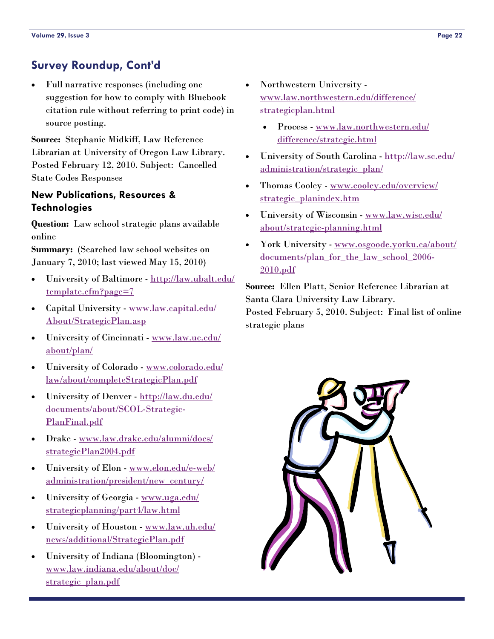# <span id="page-21-0"></span>**Survey Roundup, Cont'd**

 Full narrative responses (including one suggestion for how to comply with Bluebook citation rule without referring to print code) in source posting.

**Source:** Stephanie Midkiff, Law Reference Librarian at University of Oregon Law Library. Posted February 12, 2010. Subject: Cancelled State Codes Responses

### **New Publications, Resources & Technologies**

**Question:** Law school strategic plans available online

**Summary:** (Searched law school websites on January 7, 2010; last viewed May 15, 2010)

- University of Baltimore [http://law.ubalt.edu/](http://law.ubalt.edu/template.cfm?page=7) [template.cfm?page=7](http://law.ubalt.edu/template.cfm?page=7)
- Capital University [www.law.capital.edu/](http://www.law.capital.edu/About/StrategicPlan.asp) [About/StrategicPlan.asp](http://www.law.capital.edu/About/StrategicPlan.asp)
- University of Cincinnati [www.law.uc.edu/](http://www.law.uc.edu/about/plan/) [about/plan/](http://www.law.uc.edu/about/plan/)
- University of Colorado [www.colorado.edu/](http://www.colorado.edu/law/about/completeStrategicPlan.pdf) [law/about/completeStrategicPlan.pdf](http://www.colorado.edu/law/about/completeStrategicPlan.pdf)
- University of Denver [http://law.du.edu/](http://law.du.edu/documents/about/SCOL-Strategic-PlanFinal.pdf) [documents/about/SCOL-Strategic-](http://law.du.edu/documents/about/SCOL-Strategic-PlanFinal.pdf)[PlanFinal.pdf](http://law.du.edu/documents/about/SCOL-Strategic-PlanFinal.pdf)
- Drake [www.law.drake.edu/alumni/docs/](http://www.law.drake.edu/alumni/docs/strategicPlan2004.pdf) [strategicPlan2004.pdf](http://www.law.drake.edu/alumni/docs/strategicPlan2004.pdf)
- University of Elon [www.elon.edu/e-web/](http://www.elon.edu/e-web/administration/president/new_century/) [administration/president/new\\_century/](http://www.elon.edu/e-web/administration/president/new_century/)
- University of Georgia [www.uga.edu/](http://www.uga.edu/strategicplanning/part4/law.html) [strategicplanning/part4/law.html](http://www.uga.edu/strategicplanning/part4/law.html)
- University of Houston [www.law.uh.edu/](http://www.law.uh.edu/news/additional/StrategicPlan.pdf) [news/additional/StrategicPlan.pdf](http://www.law.uh.edu/news/additional/StrategicPlan.pdf)
- University of Indiana (Bloomington) [www.law.indiana.edu/about/doc/](http://www.law.indiana.edu/about/doc/strategic_plan.pdf) [strategic\\_plan.pdf](http://www.law.indiana.edu/about/doc/strategic_plan.pdf)
- Northwestern University [www.law.northwestern.edu/difference/](http://www.law.northwestern.edu/difference/strategicplan.html) [strategicplan.html](http://www.law.northwestern.edu/difference/strategicplan.html)
	- Process [www.law.northwestern.edu/](http://www.law.northwestern.edu/difference/strategic.html) [difference/strategic.html](http://www.law.northwestern.edu/difference/strategic.html)
- University of South Carolina [http://law.sc.edu/](http://law.sc.edu/administration/strategic_plan/) [administration/strategic\\_plan/](http://law.sc.edu/administration/strategic_plan/)
- Thomas Cooley [www.cooley.edu/overview/](http://www.cooley.edu/overview/strategic_planindex.htm) [strategic\\_planindex.htm](http://www.cooley.edu/overview/strategic_planindex.htm)
- University of Wisconsin [www.law.wisc.edu/](http://www.law.wisc.edu/about/strategic-planning.html) [about/strategic-planning.html](http://www.law.wisc.edu/about/strategic-planning.html)
- York University [www.osgoode.yorku.ca/about/](http://www.osgoode.yorku.ca/about/documents/plan_for_the_law_school_2006-2010.pdf) [documents/plan\\_for\\_the\\_law\\_school\\_2006-](http://www.osgoode.yorku.ca/about/documents/plan_for_the_law_school_2006-2010.pdf) [2010.pdf](http://www.osgoode.yorku.ca/about/documents/plan_for_the_law_school_2006-2010.pdf)

**Source:** Ellen Platt, Senior Reference Librarian at Santa Clara University Law Library.

Posted February 5, 2010. Subject: Final list of online strategic plans

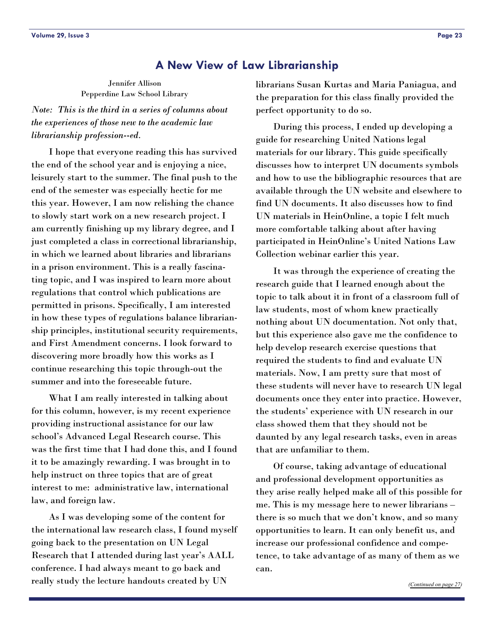### **A New View of Law Librarianship**

Jennifer Allison Pepperdine Law School Library

*Note: This is the third in a series of columns about the experiences of those new to the academic law librarianship profession--ed.* 

 I hope that everyone reading this has survived the end of the school year and is enjoying a nice, leisurely start to the summer. The final push to the end of the semester was especially hectic for me this year. However, I am now relishing the chance to slowly start work on a new research project. I am currently finishing up my library degree, and I just completed a class in correctional librarianship, in which we learned about libraries and librarians in a prison environment. This is a really fascinating topic, and I was inspired to learn more about regulations that control which publications are permitted in prisons. Specifically, I am interested in how these types of regulations balance librarianship principles, institutional security requirements, and First Amendment concerns. I look forward to discovering more broadly how this works as I continue researching this topic through-out the summer and into the foreseeable future.

 What I am really interested in talking about for this column, however, is my recent experience providing instructional assistance for our law school's Advanced Legal Research course. This was the first time that I had done this, and I found it to be amazingly rewarding. I was brought in to help instruct on three topics that are of great interest to me: administrative law, international law, and foreign law.

 As I was developing some of the content for the international law research class, I found myself going back to the presentation on UN Legal Research that I attended during last year's AALL conference. I had always meant to go back and really study the lecture handouts created by UN

librarians Susan Kurtas and Maria Paniagua, and the preparation for this class finally provided the perfect opportunity to do so.

 During this process, I ended up developing a guide for researching United Nations legal materials for our library. This guide specifically discusses how to interpret UN documents symbols and how to use the bibliographic resources that are available through the UN website and elsewhere to find UN documents. It also discusses how to find UN materials in HeinOnline, a topic I felt much more comfortable talking about after having participated in HeinOnline's United Nations Law Collection webinar earlier this year.

 It was through the experience of creating the research guide that I learned enough about the topic to talk about it in front of a classroom full of law students, most of whom knew practically nothing about UN documentation. Not only that, but this experience also gave me the confidence to help develop research exercise questions that required the students to find and evaluate UN materials. Now, I am pretty sure that most of these students will never have to research UN legal documents once they enter into practice. However, the students' experience with UN research in our class showed them that they should not be daunted by any legal research tasks, even in areas that are unfamiliar to them.

 Of course, taking advantage of educational and professional development opportunities as they arise really helped make all of this possible for me. This is my message here to newer librarians – there is so much that we don't know, and so many opportunities to learn. It can only benefit us, and increase our professional confidence and competence, to take advantage of as many of them as we can.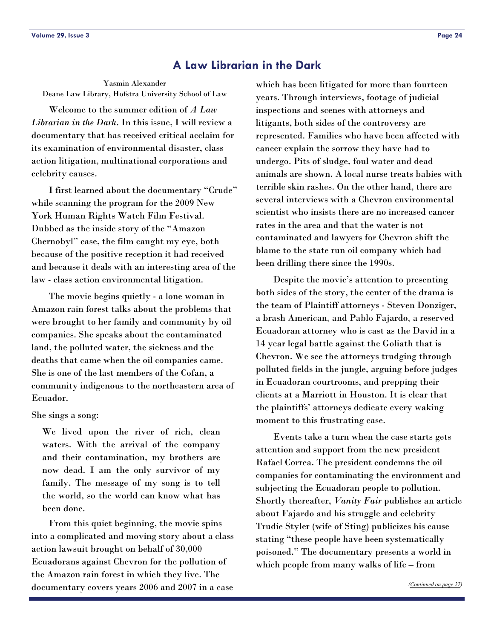### **A Law Librarian in the Dark**

Yasmin Alexander Deane Law Library, Hofstra University School of Law

 Welcome to the summer edition of *A Law Librarian in the Dark*. In this issue, I will review a documentary that has received critical acclaim for its examination of environmental disaster, class action litigation, multinational corporations and celebrity causes.

 I first learned about the documentary "Crude" while scanning the program for the 2009 New York Human Rights Watch Film Festival. Dubbed as the inside story of the "Amazon Chernobyl" case, the film caught my eye, both because of the positive reception it had received and because it deals with an interesting area of the law - class action environmental litigation.

 The movie begins quietly - a lone woman in Amazon rain forest talks about the problems that were brought to her family and community by oil companies. She speaks about the contaminated land, the polluted water, the sickness and the deaths that came when the oil companies came. She is one of the last members of the Cofan, a community indigenous to the northeastern area of Ecuador.

#### She sings a song:

We lived upon the river of rich, clean waters. With the arrival of the company and their contamination, my brothers are now dead. I am the only survivor of my family. The message of my song is to tell the world, so the world can know what has been done.

 From this quiet beginning, the movie spins into a complicated and moving story about a class action lawsuit brought on behalf of 30,000 Ecuadorans against Chevron for the pollution of the Amazon rain forest in which they live. The documentary covers years 2006 and 2007 in a case

which has been litigated for more than fourteen years. Through interviews, footage of judicial inspections and scenes with attorneys and litigants, both sides of the controversy are represented. Families who have been affected with cancer explain the sorrow they have had to undergo. Pits of sludge, foul water and dead animals are shown. A local nurse treats babies with terrible skin rashes. On the other hand, there are several interviews with a Chevron environmental scientist who insists there are no increased cancer rates in the area and that the water is not contaminated and lawyers for Chevron shift the blame to the state run oil company which had been drilling there since the 1990s.

 Despite the movie's attention to presenting both sides of the story, the center of the drama is the team of Plaintiff attorneys - Steven Donziger, a brash American, and Pablo Fajardo, a reserved Ecuadoran attorney who is cast as the David in a 14 year legal battle against the Goliath that is Chevron. We see the attorneys trudging through polluted fields in the jungle, arguing before judges in Ecuadoran courtrooms, and prepping their clients at a Marriott in Houston. It is clear that the plaintiffs' attorneys dedicate every waking moment to this frustrating case.

 Events take a turn when the case starts gets attention and support from the new president Rafael Correa. The president condemns the oil companies for contaminating the environment and subjecting the Ecuadoran people to pollution. Shortly thereafter, *Vanity Fair* publishes an article about Fajardo and his struggle and celebrity Trudie Styler (wife of Sting) publicizes his cause stating "these people have been systematically poisoned." The documentary presents a world in which people from many walks of life – from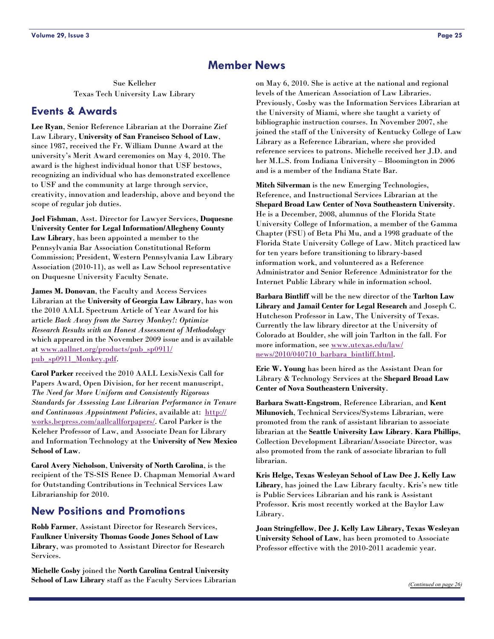### **Member News**

<span id="page-24-0"></span>Sue Kelleher Texas Tech University Law Library

### **Events & Awards**

**Lee Ryan**, Senior Reference Librarian at the Dorraine Zief Law Library, **University of San Francisco School of Law**, since 1987, received the Fr. William Dunne Award at the university's Merit Award ceremonies on May 4, 2010. The award is the highest individual honor that USF bestows, recognizing an individual who has demonstrated excellence to USF and the community at large through service, creativity, innovation and leadership, above and beyond the scope of regular job duties.

**Joel Fishman**, Asst. Director for Lawyer Services, **Duquesne University Center for Legal Information/Allegheny County Law Library**, has been appointed a member to the Pennsylvania Bar Association Constitutional Reform Commission; President, Western Pennsylvania Law Library Association (2010-11), as well as Law School representative on Duquesne University Faculty Senate.

**James M. Donovan**, the Faculty and Access Services Librarian at the **University of Georgia Law Library**, has won the 2010 AALL Spectrum Article of Year Award for his article *Back Away from the Survey Monkey!: Optimize Research Results with an Honest Assessment of Methodology* which appeared in the November 2009 issue and is available at [www.aallnet.org/products/pub\\_sp0911/](http://www.aallnet.org/products/pub_sp0911/pub_sp0911_Monkey.pdf) [pub\\_sp0911\\_Monkey.pdf](http://www.aallnet.org/products/pub_sp0911/pub_sp0911_Monkey.pdf).

**Carol Parker** received the 2010 AALL LexisNexis Call for Papers Award, Open Division, for her recent manuscript, *The Need for More Uniform and Consistently Rigorous Standards for Assessing Law Librarian Performance in Tenure and Continuous Appointment Policies*, available at: [http://](http://works.bepress.com/aallcallforpapers/) [works.bepress.com/aallcallforpapers/.](http://works.bepress.com/aallcallforpapers/) Carol Parker is the Keleher Professor of Law, and Associate Dean for Library and Information Technology at the **University of New Mexico School of Law**.

**Carol Avery Nicholson**, **University of North Carolina**, is the recipient of the TS-SIS Renee D. Chapman Memorial Award for Outstanding Contributions in Technical Services Law Librarianship for 2010.

### **New Positions and Promotions**

**Robb Farmer**, Assistant Director for Research Services, **Faulkner University Thomas Goode Jones School of Law Library**, was promoted to Assistant Director for Research Services.

**Michelle Cosby** joined the **North Carolina Central University School of Law Library** staff as the Faculty Services Librarian

on May 6, 2010. She is active at the national and regional levels of the American Association of Law Libraries. Previously, Cosby was the Information Services Librarian at the University of Miami, where she taught a variety of bibliographic instruction courses. In November 2007, she joined the staff of the University of Kentucky College of Law Library as a Reference Librarian, where she provided reference services to patrons. Michelle received her J.D. and her M.L.S. from Indiana University – Bloomington in 2006 and is a member of the Indiana State Bar.

**Mitch Silverman** is the new Emerging Technologies, Reference, and Instructional Services Librarian at the **Shepard Broad Law Center of Nova Southeastern University**. He is a December, 2008, alumnus of the Florida State University College of Information, a member of the Gamma Chapter (FSU) of Beta Phi Mu, and a 1998 graduate of the Florida State University College of Law. Mitch practiced law for ten years before transitioning to library-based information work, and volunteered as a Reference Administrator and Senior Reference Administrator for the Internet Public Library while in information school.

**Barbara Bintliff** will be the new director of the **Tarlton Law Library and Jamail Center for Legal Research** and Joseph C. Hutcheson Professor in Law, The University of Texas. Currently the law library director at the University of Colorado at Boulder, she will join Tarlton in the fall. For more information, see [www.utexas.edu/law/](http://www.utexas.edu/law/news/2010/040710_barbara_bintliff.html) [news/2010/040710\\_barbara\\_bintliff.html](http://www.utexas.edu/law/news/2010/040710_barbara_bintliff.html).

**Eric W. Young** has been hired as the Assistant Dean for Library & Technology Services at the **Shepard Broad Law Center of Nova Southeastern University**.

**Barbara Swatt-Engstrom**, Reference Librarian, and **Kent Milunovich**, Technical Services/Systems Librarian, were promoted from the rank of assistant librarian to associate librarian at the **Seattle University Law Library**. **Kara Phillips**, Collection Development Librarian/Associate Director, was also promoted from the rank of associate librarian to full librarian.

**Kris Helge, Texas Wesleyan School of Law Dee J. Kelly Law Library**, has joined the Law Library faculty. Kris's new title is Public Services Librarian and his rank is Assistant Professor. Kris most recently worked at the Baylor Law Library.

**Joan Stringfellow**, **Dee J. Kelly Law Library, Texas Wesleyan University School of Law**, has been promoted to Associate Professor effective with the 2010-2011 academic year.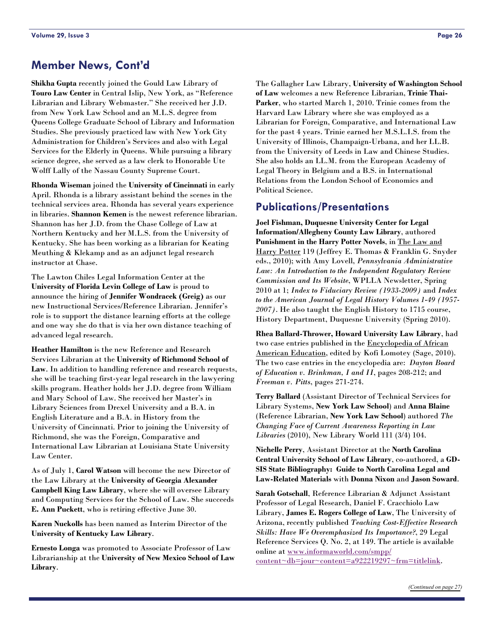### <span id="page-25-0"></span>**Member News, Cont'd**

**Shikha Gupta** recently joined the Gould Law Library of **Touro Law Center** in Central Islip, New York, as "Reference Librarian and Library Webmaster." She received her J.D. from New York Law School and an M.L.S. degree from Queens College Graduate School of Library and Information Studies. She previously practiced law with New York City Administration for Children's Services and also with Legal Services for the Elderly in Queens. While pursuing a library science degree, she served as a law clerk to Honorable Ute Wolff Lally of the Nassau County Supreme Court.

**Rhonda Wiseman** joined the **University of Cincinnati** in early April. Rhonda is a library assistant behind the scenes in the technical services area. Rhonda has several years experience in libraries. **Shannon Kemen** is the newest reference librarian. Shannon has her J.D. from the Chase College of Law at Northern Kentucky and her M.L.S. from the University of Kentucky. She has been working as a librarian for Keating Meuthing & Klekamp and as an adjunct legal research instructor at Chase.

The Lawton Chiles Legal Information Center at the **University of Florida Levin College of Law** is proud to announce the hiring of **Jennifer Wondracek (Greig)** as our new Instructional Services/Reference Librarian. Jennifer's role is to support the distance learning efforts at the college and one way she do that is via her own distance teaching of advanced legal research.

**Heather Hamilton** is the new Reference and Research Services Librarian at the **University of Richmond School of Law**. In addition to handling reference and research requests, she will be teaching first-year legal research in the lawyering skills program. Heather holds her J.D. degree from William and Mary School of Law. She received her Master's in Library Sciences from Drexel University and a B.A. in English Literature and a B.A. in History from the University of Cincinnati. Prior to joining the University of Richmond, she was the Foreign, Comparative and International Law Librarian at Louisiana State University Law Center.

As of July 1, **Carol Watson** will become the new Director of the Law Library at the **University of Georgia Alexander Campbell King Law Library**, where she will oversee Library and Computing Services for the School of Law. She succeeds **E. Ann Puckett**, who is retiring effective June 30.

**Karen Nuckolls** has been named as Interim Director of the **University of Kentucky Law Library**.

**Ernesto Longa** was promoted to Associate Professor of Law Librarianship at the **University of New Mexico School of Law Library**.

The Gallagher Law Library, **University of Washington School of Law** welcomes a new Reference Librarian, **Trinie Thai-Parker**, who started March 1, 2010. Trinie comes from the Harvard Law Library where she was employed as a Librarian for Foreign, Comparative, and International Law for the past 4 years. Trinie earned her M.S.L.I.S. from the University of Illinois, Champaign-Urbana, and her LL.B. from the University of Leeds in Law and Chinese Studies. She also holds an LL.M. from the European Academy of Legal Theory in Belgium and a B.S. in International Relations from the London School of Economics and Political Science.

### **Publications/Presentations**

**Joel Fishman, Duquesne University Center for Legal Information/Allegheny County Law Library**, authored **Punishment in the Harry Potter Novels**, in The Law and Harry Potter 119 (Jeffrey E. Thomas & Franklin G. Snyder eds., 2010); with Amy Lovell, *Pennsylvania Administrative Law: An Introduction to the Independent Regulatory Review Commission and Its Website*, WPLLA Newsletter, Spring 2010 at 1; *Index to Fiduciary Review (1933-2009)* and *Index to the American Journal of Legal History Volumes 1-49 (1957- 2007)*. He also taught the English History to 1715 course, History Department, Duquesne University (Spring 2010).

**Rhea Ballard-Thrower, Howard University Law Library**, had two case entries published in the Encyclopedia of African American Education, edited by Kofi Lomotey (Sage, 2010). The two case entries in the encyclopedia are: *Dayton Board of Education v. Brinkman, I and II*, pages 208-212; and *Freeman v. Pitts*, pages 271-274.

**Terry Ballard** (Assistant Director of Technical Services for Library Systems, **New York Law School**) and **Anna Blaine** (Reference Librarian, **New York Law School**) authored *The Changing Face of Current Awareness Reporting in Law Libraries* (2010), New Library World 111 (3/4) 104.

**Nichelle Perry**, Assistant Director at the **North Carolina Central University School of Law Library**, co-authored, a **GD-SIS State Bibliography: Guide to North Carolina Legal and Law-Related Materials** with **Donna Nixon** and **Jason Soward**.

**Sarah Gotschall**, Reference Librarian & Adjunct Assistant Professor of Legal Research, Daniel F. Cracchiolo Law Library, **James E. Rogers College of Law**, The University of Arizona, recently published *Teaching Cost-Effective Research Skills: Have We Overemphasized Its Importance?*, 29 Legal Reference Services Q. No. 2, at 149. The article is available online at [www.informaworld.com/smpp/](http://www.informaworld.com/smpp/content~db=jour~content=a922219297~frm=titlelink) [content~db=jour~content=a922219297~frm=titlelink](http://www.informaworld.com/smpp/content~db=jour~content=a922219297~frm=titlelink).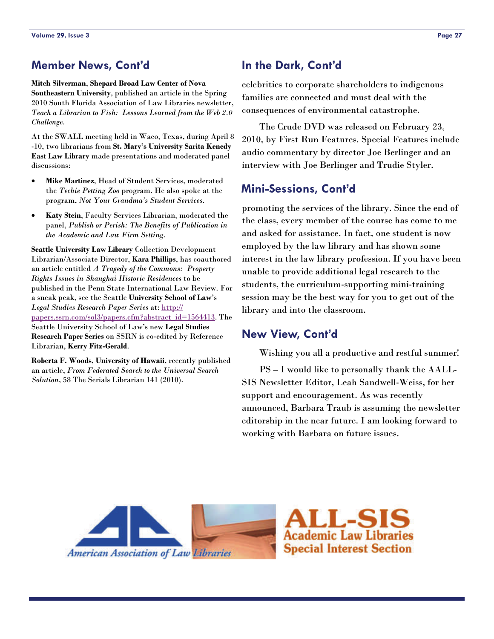### <span id="page-26-0"></span>**Member News, Cont'd**

**Mitch Silverman**, **Shepard Broad Law Center of Nova Southeastern University**, published an article in the Spring 2010 South Florida Association of Law Libraries newsletter, *Teach a Librarian to Fish: Lessons Learned from the Web 2.0 Challenge*.

At the SWALL meeting held in Waco, Texas, during April 8 -10, two librarians from **St. Mary's University Sarita Kenedy East Law Library** made presentations and moderated panel discussions:

- **Mike Martinez**, Head of Student Services, moderated the *Techie Petting Zoo* program. He also spoke at the program, *Not Your Grandma's Student Services*.
- **Katy Stein**, Faculty Services Librarian, moderated the panel, *Publish or Perish: The Benefits of Publication in the Academic and Law Firm Setting*.

**Seattle University Law Library** Collection Development Librarian/Associate Director, **Kara Phillips**, has coauthored an article entitled *A Tragedy of the Commons: Property Rights Issues in Shanghai Historic Residences* to be published in the Penn State International Law Review. For a sneak peak, see the Seattle **University School of Law**'s *Legal Studies Research Paper Series* at: [http://](http://papers.ssrn.com/sol3/papers.cfm?abstract_id=1564413) [papers.ssrn.com/sol3/papers.cfm?abstract\\_id=1564413](http://papers.ssrn.com/sol3/papers.cfm?abstract_id=1564413). The Seattle University School of Law's new **Legal Studies Research Paper Series** on SSRN is co-edited by Reference Librarian, **Kerry Fitz-Gerald**.

**Roberta F. Woods, University of Hawaii**, recently published an article, *From Federated Search to the Universal Search Solution*, 58 The Serials Librarian 141 (2010).

### **In the Dark, Cont'd**

celebrities to corporate shareholders to indigenous families are connected and must deal with the consequences of environmental catastrophe.

 The Crude DVD was released on February 23, 2010, by First Run Features. Special Features include audio commentary by director Joe Berlinger and an interview with Joe Berlinger and Trudie Styler.

### **Mini-Sessions, Cont'd**

promoting the services of the library. Since the end of the class, every member of the course has come to me and asked for assistance. In fact, one student is now employed by the law library and has shown some interest in the law library profession. If you have been unable to provide additional legal research to the students, the curriculum-supporting mini-training session may be the best way for you to get out of the library and into the classroom.

### **New View, Cont'd**

Wishing you all a productive and restful summer!

 PS – I would like to personally thank the AALL-SIS Newsletter Editor, Leah Sandwell-Weiss, for her support and encouragement. As was recently announced, Barbara Traub is assuming the newsletter editorship in the near future. I am looking forward to working with Barbara on future issues.